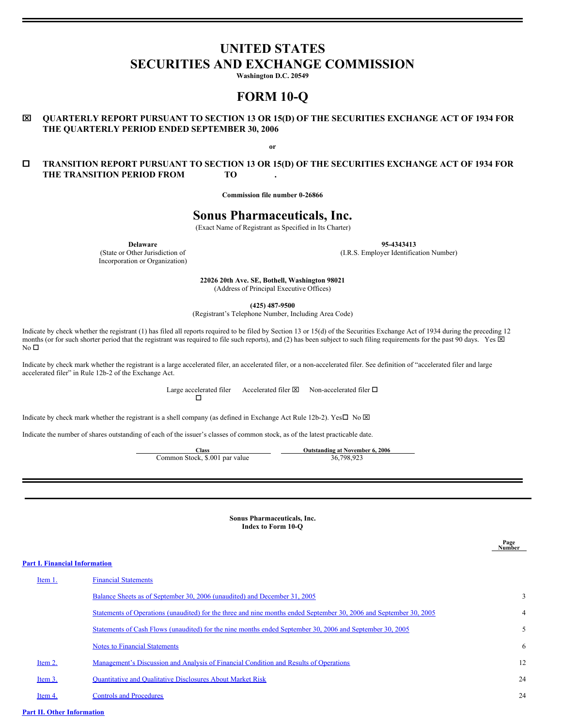# **UNITED STATES SECURITIES AND EXCHANGE COMMISSION**

**Washington D.C. 20549**

# **FORM 10-Q**

## x **QUARTERLY REPORT PURSUANT TO SECTION 13 OR 15(D) OF THE SECURITIES EXCHANGE ACT OF 1934 FOR THE QUARTERLY PERIOD ENDED SEPTEMBER 30, 2006**

**or**

## o **TRANSITION REPORT PURSUANT TO SECTION 13 OR 15(D) OF THE SECURITIES EXCHANGE ACT OF 1934 FOR THE TRANSITION PERIOD FROM TO .**

**Commission file number 0-26866**

# **Sonus Pharmaceuticals, Inc.**

(Exact Name of Registrant as Specified in Its Charter)

Incorporation or Organization)

**Delaware 95-4343413**

(State or Other Jurisdiction of (I.R.S. Employer Identification Number)

**Page Number**

**22026 20th Ave. SE, Bothell, Washington 98021**

(Address of Principal Executive Offices)

**(425) 487-9500**

(Registrant's Telephone Number, Including Area Code)

Indicate by check whether the registrant (1) has filed all reports required to be filed by Section 13 or 15(d) of the Securities Exchange Act of 1934 during the preceding 12 months (or for such shorter period that the registrant was required to file such reports), and (2) has been subject to such filing requirements for the past 90 days. Yes  $\overline{2}$  $N_0$  $\Pi$ 

Indicate by check mark whether the registrant is a large accelerated filer, an accelerated filer, or a non-accelerated filer. See definition of "accelerated filer and large accelerated filer" in Rule 12b-2 of the Exchange Act.

> Large accelerated filer  $\Box$ Accelerated filer  $\boxtimes$  Non-accelerated filer  $\square$

Indicate by check mark whether the registrant is a shell company (as defined in Exchange Act Rule 12b-2). Yes $\square$  No  $\boxtimes$ 

Indicate the number of shares outstanding of each of the issuer's classes of common stock, as of the latest practicable date.

Common Stock, \$.001 par value 36,798,923

**Class Outstanding at November 6, 2006**

**Sonus Pharmaceuticals, Inc. Index to Form 10-Q**

#### **Part I. Financial [Information](#page-1-0)**

| Item 1. | <b>Financial Statements</b>                                                                                        |    |
|---------|--------------------------------------------------------------------------------------------------------------------|----|
|         | Balance Sheets as of September 30, 2006 (unaudited) and December 31, 2005                                          | 3  |
|         | Statements of Operations (unaudited) for the three and nine months ended September 30, 2006 and September 30, 2005 | 4  |
|         | Statements of Cash Flows (unaudited) for the nine months ended September 30, 2006 and September 30, 2005           | 5. |
|         | <b>Notes to Financial Statements</b>                                                                               | 6  |
| Item 2. | Management's Discussion and Analysis of Financial Condition and Results of Operations                              | 12 |
| Item 3. | <b>Quantitative and Qualitative Disclosures About Market Risk</b>                                                  | 24 |
| Item 4. | <b>Controls and Procedures</b>                                                                                     | 24 |

**Part II. Other [Information](#page-13-2)**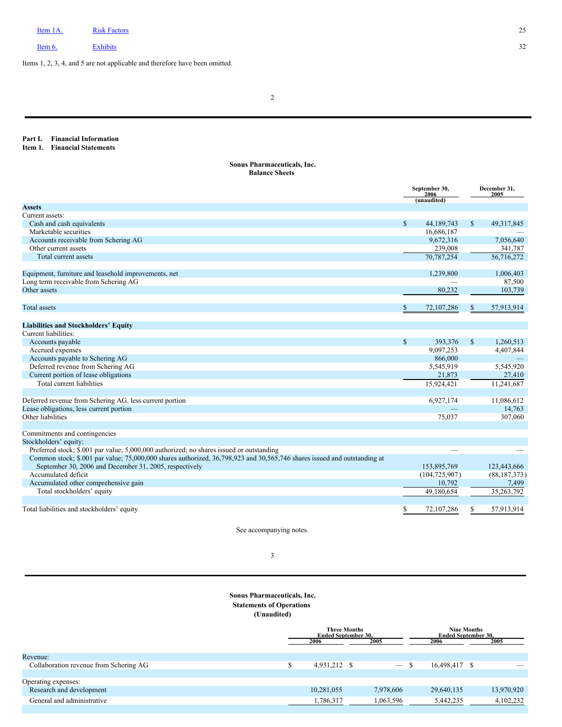$\frac{1}{2}$  [Exhibits](#page-17-0) 32

Items 1, 2, 3, 4, and 5 are not applicable and therefore have been omitted.

2

## <span id="page-1-0"></span>**Part I. Financial Information**

<span id="page-1-1"></span>**Item 1. Financial Statements**

## <span id="page-1-2"></span>**Sonus Pharmaceuticals, Inc. Balance Sheets**

|                                                                                                                                                                                                                      | September 30,<br>2006 |                 | December 31,<br>2005 |                |
|----------------------------------------------------------------------------------------------------------------------------------------------------------------------------------------------------------------------|-----------------------|-----------------|----------------------|----------------|
| <b>Assets</b>                                                                                                                                                                                                        |                       | (unaudited)     |                      |                |
| Current assets:                                                                                                                                                                                                      |                       |                 |                      |                |
| Cash and cash equivalents                                                                                                                                                                                            | $\mathbf S$           | 44,189,743      | $\mathbb{S}$         | 49,317,845     |
| Marketable securities                                                                                                                                                                                                |                       | 16,686,187      |                      |                |
| Accounts receivable from Schering AG                                                                                                                                                                                 |                       | 9,672,316       |                      | 7,056,640      |
| Other current assets                                                                                                                                                                                                 |                       | 239,008         |                      | 341,787        |
| Total current assets                                                                                                                                                                                                 |                       | 70,787,254      |                      | 56,716,272     |
| Equipment, furniture and leasehold improvements, net                                                                                                                                                                 |                       | 1,239,800       |                      | 1,006,403      |
| Long term receivable from Schering AG                                                                                                                                                                                |                       |                 |                      | 87,500         |
| Other assets                                                                                                                                                                                                         |                       | 80.232          |                      | 103,739        |
| <b>Total assets</b>                                                                                                                                                                                                  | \$                    | 72,107,286      | \$                   | 57,913,914     |
| <b>Liabilities and Stockholders' Equity</b>                                                                                                                                                                          |                       |                 |                      |                |
| Current liabilities:                                                                                                                                                                                                 |                       |                 |                      |                |
| Accounts payable                                                                                                                                                                                                     | $\mathbb{S}$          | 393,376         | $\mathbb{S}$         | 1.260.513      |
| Accrued expenses                                                                                                                                                                                                     |                       | 9.097.253       |                      | 4,407,844      |
| Accounts payable to Schering AG                                                                                                                                                                                      |                       | 866,000         |                      |                |
| Deferred revenue from Schering AG                                                                                                                                                                                    |                       | 5,545,919       |                      | 5,545,920      |
| Current portion of lease obligations                                                                                                                                                                                 |                       | 21,873          |                      | 27,410         |
| Total current liabilities                                                                                                                                                                                            |                       | 15,924,421      |                      | 11,241,687     |
| Deferred revenue from Schering AG, less current portion                                                                                                                                                              |                       | 6,927,174       |                      | 11,086,612     |
| Lease obligations, less current portion                                                                                                                                                                              |                       |                 |                      | 14,763         |
| Other liabilities                                                                                                                                                                                                    |                       | 75,037          |                      | 307,060        |
| Commitments and contingencies                                                                                                                                                                                        |                       |                 |                      |                |
| Stockholders' equity:                                                                                                                                                                                                |                       |                 |                      |                |
| Preferred stock; \$.001 par value; 5,000,000 authorized; no shares issued or outstanding<br>Common stock; \$.001 par value; 75,000,000 shares authorized, 36,798,923 and 30,565,746 shares issued and outstanding at |                       |                 |                      |                |
| September 30, 2006 and December 31, 2005, respectively                                                                                                                                                               |                       | 153,895,769     |                      | 123,443,666    |
| Accumulated deficit                                                                                                                                                                                                  |                       | (104, 725, 907) |                      | (88, 187, 373) |
| Accumulated other comprehensive gain                                                                                                                                                                                 |                       | 10,792          |                      | 7,499          |
| Total stockholders' equity                                                                                                                                                                                           |                       | 49.180.654      |                      | 35,263,792     |
| Total liabilities and stockholders' equity                                                                                                                                                                           | \$                    | 72,107,286      | \$                   | 57,913,914     |

See accompanying notes.

## 3

## **Sonus Pharmaceuticals, Inc.**

**Statements of Operations**

<span id="page-1-3"></span>**(Unaudited)**

|                                        | <b>Three Months</b><br><b>Ended September 30.</b> |              |  |                                 | <b>Nine Months</b><br><b>Ended September 30.</b> |  |            |
|----------------------------------------|---------------------------------------------------|--------------|--|---------------------------------|--------------------------------------------------|--|------------|
|                                        |                                                   | 2006         |  | 2005                            | 2006                                             |  | 2005       |
| Revenue:                               |                                                   |              |  |                                 |                                                  |  |            |
| Collaboration revenue from Schering AG |                                                   | 4,931,212 \$ |  | $\hspace{0.1mm}-\hspace{0.1mm}$ | 16,498,417 \$<br>S                               |  | __         |
|                                        |                                                   |              |  |                                 |                                                  |  |            |
| Operating expenses:                    |                                                   |              |  |                                 |                                                  |  |            |
| Research and development               |                                                   | 10,281,055   |  | 7,978,606                       | 29,640,135                                       |  | 13,970,920 |
| General and administrative             |                                                   | 1,786,317    |  | 1,063,596                       | 5,442,235                                        |  | 4,102,232  |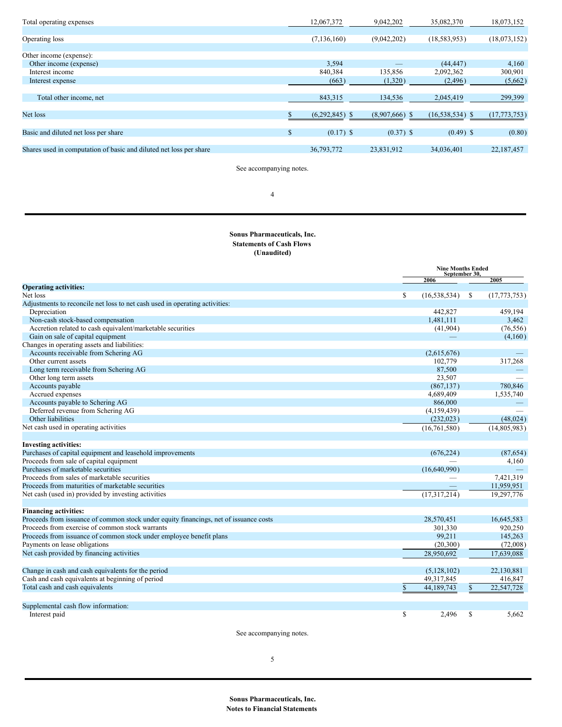| Total operating expenses                                           | 12,067,372                   | 9,042,202        | 35,082,370          | 18,073,152     |
|--------------------------------------------------------------------|------------------------------|------------------|---------------------|----------------|
| Operating loss                                                     | (7, 136, 160)                | (9,042,202)      | (18, 583, 953)      | (18,073,152)   |
| Other income (expense):                                            |                              |                  |                     |                |
| Other income (expense)                                             | 3,594                        |                  | (44, 447)           | 4,160          |
| Interest income                                                    | 840,384                      | 135,856          | 2,092,362           | 300,901        |
| Interest expense                                                   | (663)                        | (1,320)          | (2, 496)            | (5,662)        |
| Total other income, net                                            | 843,315                      | 134,536          | 2,045,419           | 299,399        |
| Net loss                                                           | $(6,292,845)$ \$             | $(8,907,666)$ \$ | $(16, 538, 534)$ \$ | (17, 773, 753) |
| Basic and diluted net loss per share                               | $\mathcal{S}$<br>$(0.17)$ \$ | $(0.37)$ \$      | $(0.49)$ \$         | (0.80)         |
| Shares used in computation of basic and diluted net loss per share | 36,793,772                   | 23,831,912       | 34,036,401          | 22,187,457     |

See accompanying notes.

## <span id="page-2-0"></span>4

## **Sonus Pharmaceuticals, Inc. Statements of Cash Flows (Unaudited)**

|                                                                                       | <b>Nine Months Ended</b><br>September 30. |               |              |
|---------------------------------------------------------------------------------------|-------------------------------------------|---------------|--------------|
|                                                                                       | 2006                                      |               | 2005         |
| <b>Operating activities:</b>                                                          |                                           |               |              |
| Net loss                                                                              | \$<br>(16, 538, 534)                      | <sup>\$</sup> | (17,773,753) |
| Adjustments to reconcile net loss to net cash used in operating activities:           |                                           |               |              |
| Depreciation                                                                          | 442,827                                   |               | 459,194      |
| Non-cash stock-based compensation                                                     | 1,481,111                                 |               | 3,462        |
| Accretion related to cash equivalent/marketable securities                            | (41,904)                                  |               | (76, 556)    |
| Gain on sale of capital equipment                                                     |                                           |               | (4,160)      |
| Changes in operating assets and liabilities:                                          |                                           |               |              |
| Accounts receivable from Schering AG                                                  | (2,615,676)                               |               |              |
| Other current assets                                                                  | 102,779                                   |               | 317,268      |
| Long term receivable from Schering AG                                                 | 87,500                                    |               |              |
| Other long term assets                                                                | 23,507                                    |               |              |
| Accounts payable                                                                      | (867, 137)                                |               | 780,846      |
| Accrued expenses                                                                      | 4,689,409                                 |               | 1,535,740    |
| Accounts payable to Schering AG                                                       | 866,000                                   |               |              |
| Deferred revenue from Schering AG                                                     | (4,159,439)                               |               |              |
| Other liabilities                                                                     | (232, 023)                                |               | (48,024)     |
| Net cash used in operating activities                                                 | (16, 761, 580)                            |               | (14,805,983) |
|                                                                                       |                                           |               |              |
| <b>Investing activities:</b>                                                          |                                           |               |              |
| Purchases of capital equipment and leasehold improvements                             | (676, 224)                                |               | (87, 654)    |
| Proceeds from sale of capital equipment                                               |                                           |               | 4,160        |
| Purchases of marketable securities                                                    | (16,640,990)                              |               |              |
| Proceeds from sales of marketable securities                                          |                                           |               | 7,421,319    |
| Proceeds from maturities of marketable securities                                     |                                           |               | 11,959,951   |
| Net cash (used in) provided by investing activities                                   | (17, 317, 214)                            |               | 19,297,776   |
|                                                                                       |                                           |               |              |
| <b>Financing activities:</b>                                                          |                                           |               |              |
| Proceeds from issuance of common stock under equity financings, net of issuance costs | 28,570,451                                |               | 16,645,583   |
| Proceeds from exercise of common stock warrants                                       | 301,330                                   |               | 920,250      |
| Proceeds from issuance of common stock under employee benefit plans                   | 99,211                                    |               | 145,263      |
| Payments on lease obligations                                                         | (20, 300)                                 |               | (72,008)     |
| Net cash provided by financing activities                                             | 28,950,692                                |               | 17,639,088   |
|                                                                                       |                                           |               |              |
| Change in cash and cash equivalents for the period                                    | (5, 128, 102)                             |               | 22,130,881   |
| Cash and cash equivalents at beginning of period                                      | 49, 317, 845                              |               | 416,847      |
| Total cash and cash equivalents                                                       |                                           |               |              |
|                                                                                       | \$<br>44,189,743                          | \$            | 22,547,728   |
|                                                                                       |                                           |               |              |
| Supplemental cash flow information:                                                   |                                           |               |              |
| Interest paid                                                                         | \$<br>2.496                               | \$            | 5.662        |

<span id="page-2-1"></span>See accompanying notes.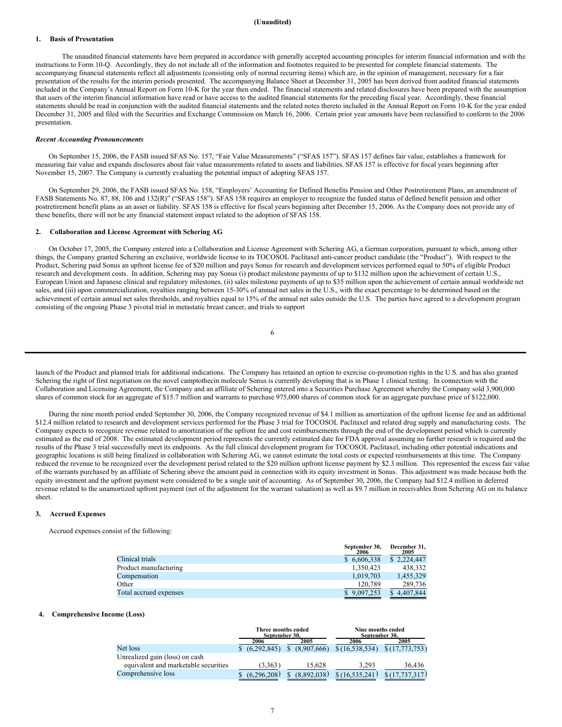#### **(Unaudited)**

## **1. Basis of Presentation**

The unaudited financial statements have been prepared in accordance with generally accepted accounting principles for interim financial information and with the instructions to Form 10-Q. Accordingly, they do not include all of the information and footnotes required to be presented for complete financial statements. The accompanying financial statements reflect all adjustments (consisting only of normal recurring items) which are, in the opinion of management, necessary for a fair presentation of the results for the interim periods presented. The accompanying Balance Sheet at December 31, 2005 has been derived from audited financial statements included in the Company's Annual Report on Form 10-K for the year then ended. The financial statements and related disclosures have been prepared with the assumption that users of the interim financial information have read or have access to the audited financial statements for the preceding fiscal year. Accordingly, these financial statements should be read in conjunction with the audited financial statements and the related notes thereto included in the Annual Report on Form 10-K for the year ended December 31, 2005 and filed with the Securities and Exchange Commission on March 16, 2006. Certain prior year amounts have been reclassified to conform to the 2006 presentation.

#### *Recent Accounting Pronouncements*

On September 15, 2006, the FASB issued SFAS No. 157, "Fair Value Measurements" ("SFAS 157"). SFAS 157 defines fair value, establishes a framework for measuring fair value and expands disclosures about fair value measurements related to assets and liabilities. SFAS 157 is effective for fiscal years beginning after November 15, 2007. The Company is currently evaluating the potential impact of adopting SFAS 157.

On September 29, 2006, the FASB issued SFAS No. 158, "Employers' Accounting for Defined Benefits Pension and Other Postretirement Plans, an amendment of FASB Statements No. 87, 88, 106 and 132(R)" ("SFAS 158"). SFAS 158 requires an employer to recognize the funded status of defined benefit pension and other postretirement benefit plans as an asset or liability. SFAS 158 is effective for fiscal years beginning after December 15, 2006. As the Company does not provide any of these benefits, there will not be any financial statement impact related to the adoption of SFAS 158.

#### **2. Collaboration and License Agreement with Schering AG**

On October 17, 2005, the Company entered into a Collaboration and License Agreement with Schering AG, a German corporation, pursuant to which, among other things, the Company granted Schering an exclusive, worldwide license to its TOCOSOL Paclitaxel anti-cancer product candidate (the "Product"). With respect to the Product, Schering paid Sonus an upfront license fee of \$20 million and pays Sonus for research and development services performed equal to 50% of eligible Product research and development costs. In addition, Schering may pay Sonus (i) product milestone payments of up to \$132 million upon the achievement of certain U.S., European Union and Japanese clinical and regulatory milestones, (ii) sales milestone payments of up to \$35 million upon the achievement of certain annual worldwide net sales, and (iii) upon commercialization, royalties ranging between 15-30% of annual net sales in the U.S., with the exact percentage to be determined based on the achievement of certain annual net sales thresholds, and royalties equal to 15% of the annual net sales outside the U.S. The parties have agreed to a development program consisting of the ongoing Phase 3 pivotal trial in metastatic breast cancer, and trials to support

|  |    | I<br>٦ |  |
|--|----|--------|--|
|  | ۰, |        |  |

launch of the Product and planned trials for additional indications. The Company has retained an option to exercise co-promotion rights in the U.S. and has also granted Schering the right of first negotiation on the novel camptothecin molecule Sonus is currently developing that is in Phase 1 clinical testing. In connection with the Collaboration and Licensing Agreement, the Company and an affiliate of Schering entered into a Securities Purchase Agreement whereby the Company sold 3,900,000 shares of common stock for an aggregate of \$15.7 million and warrants to purchase 975,000 shares of common stock for an aggregate purchase price of \$122,000.

During the nine month period ended September 30, 2006, the Company recognized revenue of \$4.1 million as amortization of the upfront license fee and an additional \$12.4 million related to research and development services performed for the Phase 3 trial for TOCOSOL Paclitaxel and related drug supply and manufacturing costs. The Company expects to recognize revenue related to amortization of the upfront fee and cost reimbursements through the end of the development period which is currently estimated as the end of 2008. The estimated development period represents the currently estimated date for FDA approval assuming no further research is required and the results of the Phase 3 trial successfully meet its endpoints. As the full clinical development program for TOCOSOL Paclitaxel, including other potential indications and geographic locations is still being finalized in collaboration with Schering AG, we cannot estimate the total costs or expected reimbursements at this time. The Company reduced the revenue to be recognized over the development period related to the \$20 million upfront license payment by \$2.3 million. This represented the excess fair value of the warrants purchased by an affiliate of Schering above the amount paid in connection with its equity investment in Sonus. This adjustment was made because both the equity investment and the upfront payment were considered to be a single unit of accounting. As of September 30, 2006, the Company had \$12.4 million in deferred revenue related to the unamortized upfront payment (net of the adjustment for the warrant valuation) as well as \$9.7 million in receivables from Schering AG on its balance sheet.

## **3. Accrued Expenses**

Accrued expenses consist of the following:

|                        | September 30,<br>2006 | December 31.<br>2005 |
|------------------------|-----------------------|----------------------|
| Clinical trials        | \$ 6,606,338          | \$2.224,447          |
| Product manufacturing  | 1.350.423             | 438.332              |
| Compensation           | 1.019.703             | 1,455,329            |
| Other                  | 120.789               | 289,736              |
| Total accrued expenses | \$9.097.253           | \$4.407.844          |

#### **4. Comprehensive Income (Loss)**

|                                      | Three months ended<br>September 30, |             |  |             | Nine months ended<br>September 30, |                |  |
|--------------------------------------|-------------------------------------|-------------|--|-------------|------------------------------------|----------------|--|
|                                      |                                     | 2006        |  | 2005        | 2006                               | 2005           |  |
| Net loss                             |                                     | (6.292.845) |  | (8.907,666) | \$(16, 538, 534)                   | \$(17,773,753) |  |
| Unrealized gain (loss) on cash       |                                     |             |  |             |                                    |                |  |
| equivalent and marketable securities |                                     | (3.363)     |  | 15.628      | 3.293                              | 36.436         |  |
| Comprehensive loss                   |                                     | (6.296.208) |  | (8.892.038) | \$(16, 535, 241)                   | \$(17,737,317) |  |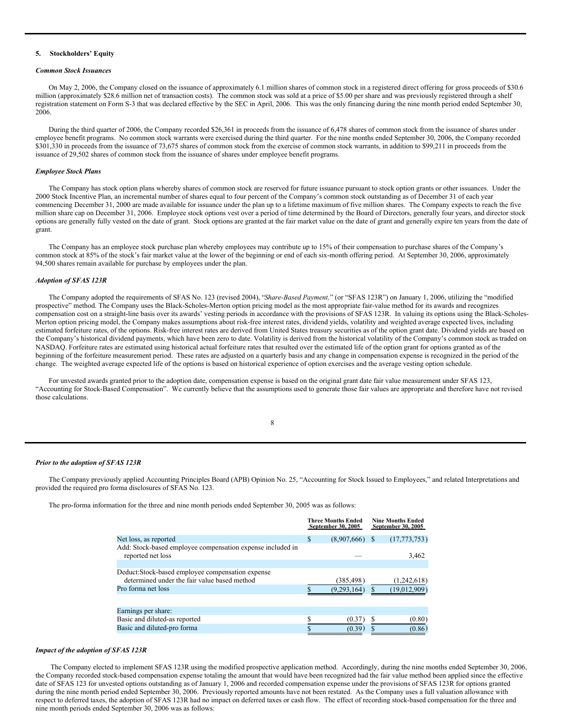#### **5. Stockholders' Equity**

#### *Common Stock Issuances*

On May 2, 2006, the Company closed on the issuance of approximately 6.1 million shares of common stock in a registered direct offering for gross proceeds of \$30.6 million (approximately \$28.6 million net of transaction costs). The common stock was sold at a price of \$5.00 per share and was previously registered through a shelf registration statement on Form S-3 that was declared effective by the SEC in April, 2006. This was the only financing during the nine month period ended September 30, 2006.

During the third quarter of 2006, the Company recorded \$26,361 in proceeds from the issuance of 6,478 shares of common stock from the issuance of shares under employee benefit programs. No common stock warrants were exercised during the third quarter. For the nine months ended September 30, 2006, the Company recorded \$301,330 in proceeds from the issuance of 73,675 shares of common stock from the exercise of common stock warrants, in addition to \$99,211 in proceeds from the issuance of 29,502 shares of common stock from the issuance of shares under employee benefit programs.

#### *Employee Stock Plans*

The Company has stock option plans whereby shares of common stock are reserved for future issuance pursuant to stock option grants or other issuances. Under the 2000 Stock Incentive Plan, an incremental number of shares equal to four percent of the Company's common stock outstanding as of December 31 of each year commencing December 31, 2000 are made available for issuance under the plan up to a lifetime maximum of five million shares. The Company expects to reach the five million share cap on December 31, 2006. Employee stock options vest over a period of time determined by the Board of Directors, generally four years, and director stock options are generally fully vested on the date of grant. Stock options are granted at the fair market value on the date of grant and generally expire ten years from the date of grant.

The Company has an employee stock purchase plan whereby employees may contribute up to 15% of their compensation to purchase shares of the Company's common stock at 85% of the stock's fair market value at the lower of the beginning or end of each six-month offering period. At September 30, 2006, approximately 94,500 shares remain available for purchase by employees under the plan.

#### *Adoption of SFAS 123R*

The Company adopted the requirements of SFAS No. 123 (revised 2004), "*Share-Based Payment,*" (or "SFAS 123R") on January 1, 2006, utilizing the "modified prospective" method. The Company uses the Black-Scholes-Merton option pricing model as the most appropriate fair-value method for its awards and recognizes compensation cost on a straight-line basis over its awards' vesting periods in accordance with the provisions of SFAS 123R. In valuing its options using the Black-Scholes-Merton option pricing model, the Company makes assumptions about risk-free interest rates, dividend yields, volatility and weighted average expected lives, including estimated forfeiture rates, of the options. Risk-free interest rates are derived from United States treasury securities as of the option grant date. Dividend yields are based on the Company's historical dividend payments, which have been zero to date. Volatility is derived from the historical volatility of the Company's common stock as traded on NASDAQ. Forfeiture rates are estimated using historical actual forfeiture rates that resulted over the estimated life of the option grant for options granted as of the beginning of the forfeiture measurement period. These rates are adjusted on a quarterly basis and any change in compensation expense is recognized in the period of the change. The weighted average expected life of the options is based on historical experience of option exercises and the average vesting option schedule.

For unvested awards granted prior to the adoption date, compensation expense is based on the original grant date fair value measurement under SFAS 123, "Accounting for Stock-Based Compensation". We currently believe that the assumptions used to generate those fair values are appropriate and therefore have not revised those calculations.

## 8

## *Prior to the adoption of SFAS 123R*

The Company previously applied Accounting Principles Board (APB) Opinion No. 25, "Accounting for Stock Issued to Employees," and related Interpretations and provided the required pro forma disclosures of SFAS No. 123.

The pro-forma information for the three and nine month periods ended September 30, 2005 was as follows:

|                                                                                                  | <b>Three Months Ended</b><br>September 30, 2005 | <b>Nine Months Ended</b><br>September 30, 2005 |
|--------------------------------------------------------------------------------------------------|-------------------------------------------------|------------------------------------------------|
| Net loss, as reported                                                                            | \$<br>$(8,907,666)$ \$                          | (17, 773, 753)                                 |
| Add: Stock-based employee compensation expense included in<br>reported net loss                  |                                                 | 3,462                                          |
| Deduct:Stock-based employee compensation expense<br>determined under the fair value based method | (385,498)                                       | (1,242,618)                                    |
| Pro forma net loss                                                                               | (9,293,164)                                     | (19,012,909)                                   |
| Earnings per share:                                                                              |                                                 |                                                |
| Basic and diluted-as reported                                                                    | (0.37)                                          | (0.80)                                         |
| Basic and diluted-pro forma                                                                      | (0.39)                                          | (0.86)                                         |

## *Impact of the adoption of SFAS 123R*

The Company elected to implement SFAS 123R using the modified prospective application method. Accordingly, during the nine months ended September 30, 2006, the Company recorded stock-based compensation expense totaling the amount that would have been recognized had the fair value method been applied since the effective date of SFAS 123 for unvested options outstanding as of January 1, 2006 and recorded compensation expense under the provisions of SFAS 123R for options granted during the nine month period ended September 30, 2006. Previously reported amounts have not been restated. As the Company uses a full valuation allowance with respect to deferred taxes, the adoption of SFAS 123R had no impact on deferred taxes or cash flow. The effect of recording stock-based compensation for the three and nine month periods ended September 30, 2006 was as follows: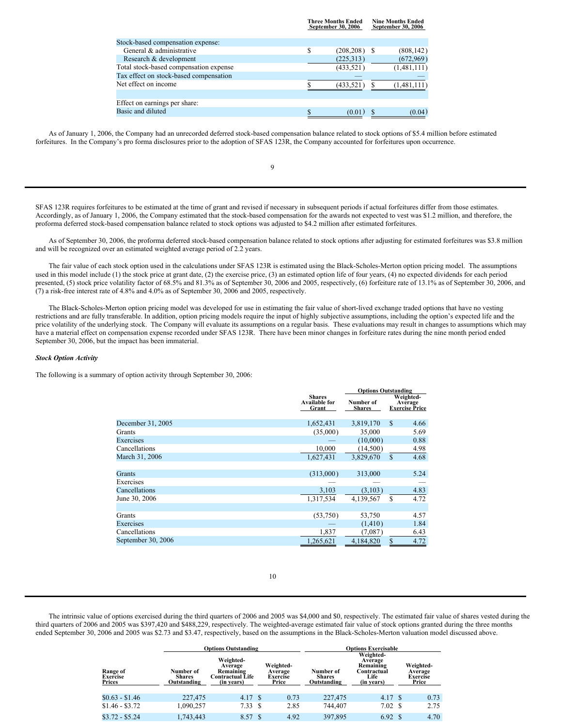|                                        | <b>Three Months Ended</b><br><b>September 30, 2006</b> | <b>Nine Months Ended</b><br><b>September 30, 2006</b> |             |  |  |
|----------------------------------------|--------------------------------------------------------|-------------------------------------------------------|-------------|--|--|
| Stock-based compensation expense:      |                                                        |                                                       |             |  |  |
| General & administrative               | \$<br>(208, 208)                                       | S                                                     | (808, 142)  |  |  |
| Research & development                 | (225, 313)                                             |                                                       | (672,969)   |  |  |
| Total stock-based compensation expense | (433, 521)                                             |                                                       | (1,481,111) |  |  |
| Tax effect on stock-based compensation |                                                        |                                                       |             |  |  |
| Net effect on income                   | (433,521                                               |                                                       | (1,481,111) |  |  |
|                                        |                                                        |                                                       |             |  |  |
| Effect on earnings per share:          |                                                        |                                                       |             |  |  |
| Basic and diluted                      | (0.01)                                                 |                                                       | (0.04)      |  |  |
|                                        |                                                        |                                                       |             |  |  |

As of January 1, 2006, the Company had an unrecorded deferred stock-based compensation balance related to stock options of \$5.4 million before estimated forfeitures. In the Company's pro forma disclosures prior to the adoption of SFAS 123R, the Company accounted for forfeitures upon occurrence.

9

SFAS 123R requires forfeitures to be estimated at the time of grant and revised if necessary in subsequent periods if actual forfeitures differ from those estimates. Accordingly, as of January 1, 2006, the Company estimated that the stock-based compensation for the awards not expected to vest was \$1.2 million, and therefore, the proforma deferred stock-based compensation balance related to stock options was adjusted to \$4.2 million after estimated forfeitures.

As of September 30, 2006, the proforma deferred stock-based compensation balance related to stock options after adjusting for estimated forfeitures was \$3.8 million and will be recognized over an estimated weighted average period of 2.2 years.

The fair value of each stock option used in the calculations under SFAS 123R is estimated using the Black-Scholes-Merton option pricing model. The assumptions used in this model include (1) the stock price at grant date, (2) the exercise price, (3) an estimated option life of four years, (4) no expected dividends for each period presented, (5) stock price volatility factor of 68.5% and 81.3% as of September 30, 2006 and 2005, respectively, (6) forfeiture rate of 13.1% as of September 30, 2006, and (7) a risk-free interest rate of 4.8% and 4.0% as of September 30, 2006 and 2005, respectively.

The Black-Scholes-Merton option pricing model was developed for use in estimating the fair value of short-lived exchange traded options that have no vesting restrictions and are fully transferable. In addition, option pricing models require the input of highly subjective assumptions, including the option's expected life and the price volatility of the underlying stock. The Company will evaluate its assumptions on a regular basis. These evaluations may result in changes to assumptions which may have a material effect on compensation expense recorded under SFAS 123R. There have been minor changes in forfeiture rates during the nine month period ended September 30, 2006, but the impact has been immaterial.

## *Stock Option Activity*

The following is a summary of option activity through September 30, 2006:

|                    |                                                | <b>Options Outstanding</b> |             |                                               |  |
|--------------------|------------------------------------------------|----------------------------|-------------|-----------------------------------------------|--|
|                    | <b>Shares</b><br><b>Available for</b><br>Grant | Number of<br><b>Shares</b> |             | Weighted-<br>Average<br><b>Exercise Price</b> |  |
| December 31, 2005  | 1,652,431                                      | 3,819,170                  | S           | 4.66                                          |  |
| Grants             | (35,000)                                       | 35,000                     |             | 5.69                                          |  |
| Exercises          |                                                | (10,000)                   |             | 0.88                                          |  |
| Cancellations      | 10.000                                         | (14,500)                   |             | 4.98                                          |  |
| March 31, 2006     | 1,627,431                                      | 3,829,670                  | $\mathbf S$ | 4.68                                          |  |
|                    |                                                |                            |             |                                               |  |
| <b>Grants</b>      | (313,000)                                      | 313,000                    |             | 5.24                                          |  |
| Exercises          |                                                |                            |             |                                               |  |
| Cancellations      | 3,103                                          | (3,103)                    |             | 4.83                                          |  |
| June 30, 2006      | 1,317,534                                      | 4,139,567                  | S           | 4.72                                          |  |
|                    |                                                |                            |             |                                               |  |
| Grants             | (53,750)                                       | 53,750                     |             | 4.57                                          |  |
| Exercises          |                                                | (1,410)                    |             | 1.84                                          |  |
| Cancellations      | 1,837                                          | (7,087)                    |             | 6.43                                          |  |
| September 30, 2006 | 1.265.621                                      | 4,184,820                  | \$          | 4.72                                          |  |

10

The intrinsic value of options exercised during the third quarters of 2006 and 2005 was \$4,000 and \$0, respectively. The estimated fair value of shares vested during the third quarters of 2006 and 2005 was \$397,420 and \$488,229, respectively. The weighted-average estimated fair value of stock options granted during the three months ended September 30, 2006 and 2005 was \$2.73 and \$3.47, respectively, based on the assumptions in the Black-Scholes-Merton valuation model discussed above.

|                                       |                                           | <b>Options Outstanding</b>                                          |                                           | <b>Options Exercisable</b>                |                                                                        |  |                                           |  |
|---------------------------------------|-------------------------------------------|---------------------------------------------------------------------|-------------------------------------------|-------------------------------------------|------------------------------------------------------------------------|--|-------------------------------------------|--|
| Range of<br><b>Exercise</b><br>Prices | Number of<br><b>Shares</b><br>Outstanding | Weighted-<br>Average<br>Remaining<br>Contractual Life<br>(in years) | Weighted-<br>Average<br>Exercise<br>Price | Number of<br><b>Shares</b><br>Outstanding | Weighted-<br>Average<br>Remaining<br>Contractual<br>Life<br>(in years) |  | Weighted-<br>Average<br>Exercise<br>Price |  |
| $$0.63 - $1.46$                       | 227,475                                   | 4.17S                                                               | 0.73                                      | 227,475                                   | 4.17S                                                                  |  | 0.73                                      |  |
| $$1.46 - $3.72$                       | 1,090,257                                 | 7.33S                                                               | 2.85                                      | 744,407                                   | 7.02 S                                                                 |  | 2.75                                      |  |
| $$3.72 - $5.24$                       | 1.743.443                                 | 8.57                                                                | 4.92                                      | 397.895                                   | 6.92 S                                                                 |  | 4.70                                      |  |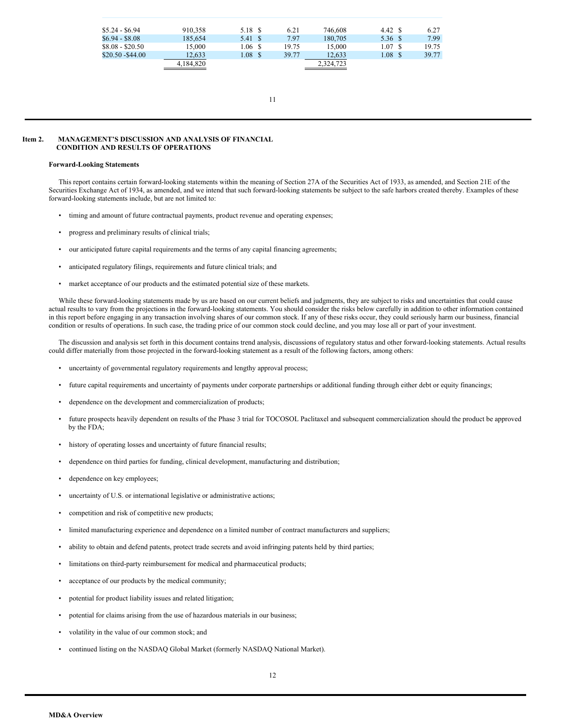<span id="page-6-0"></span>

| $$5.24 - $6.94$   | 910.358   | 5.18 \$ | 6.21  | 746,608   | 4.42 \$ | 6.27  |
|-------------------|-----------|---------|-------|-----------|---------|-------|
| $$6.94 - $8.08$$  | 185.654   | 5.41    | 7.97  | 180.705   | 5.36 \$ | 7.99  |
| $$8.08 - $20.50$  | 15.000    | l.06    | 19.75 | 15.000    | 1.07    | 19.75 |
| \$20.50 - \$44.00 | 12.633    | 0.1     | 39.77 | 12.633    | 1.08    | 39.77 |
|                   | 4.184.820 |         |       | 2.324.723 |         |       |

## **Item 2. MANAGEMENT'S DISCUSSION AND ANALYSIS OF FINANCIAL CONDITION AND RESULTS OF OPERATIONS**

## **Forward-Looking Statements**

This report contains certain forward-looking statements within the meaning of Section 27A of the Securities Act of 1933, as amended, and Section 21E of the Securities Exchange Act of 1934, as amended, and we intend that such forward-looking statements be subject to the safe harbors created thereby. Examples of these forward-looking statements include, but are not limited to:

- timing and amount of future contractual payments, product revenue and operating expenses;
- progress and preliminary results of clinical trials;
- our anticipated future capital requirements and the terms of any capital financing agreements;
- anticipated regulatory filings, requirements and future clinical trials; and
- market acceptance of our products and the estimated potential size of these markets.

While these forward-looking statements made by us are based on our current beliefs and judgments, they are subject to risks and uncertainties that could cause actual results to vary from the projections in the forward-looking statements. You should consider the risks below carefully in addition to other information contained in this report before engaging in any transaction involving shares of our common stock. If any of these risks occur, they could seriously harm our business, financial condition or results of operations. In such case, the trading price of our common stock could decline, and you may lose all or part of your investment.

The discussion and analysis set forth in this document contains trend analysis, discussions of regulatory status and other forward-looking statements. Actual results could differ materially from those projected in the forward-looking statement as a result of the following factors, among others:

- uncertainty of governmental regulatory requirements and lengthy approval process;
- future capital requirements and uncertainty of payments under corporate partnerships or additional funding through either debt or equity financings;
- dependence on the development and commercialization of products;
- future prospects heavily dependent on results of the Phase 3 trial for TOCOSOL Paclitaxel and subsequent commercialization should the product be approved by the FDA;
- history of operating losses and uncertainty of future financial results;
- dependence on third parties for funding, clinical development, manufacturing and distribution;
- dependence on key employees;
- uncertainty of U.S. or international legislative or administrative actions;
- competition and risk of competitive new products;
- limited manufacturing experience and dependence on a limited number of contract manufacturers and suppliers;
- ability to obtain and defend patents, protect trade secrets and avoid infringing patents held by third parties;
- limitations on third-party reimbursement for medical and pharmaceutical products;
- acceptance of our products by the medical community;
- potential for product liability issues and related litigation;
- potential for claims arising from the use of hazardous materials in our business;
- volatility in the value of our common stock; and
- continued listing on the NASDAQ Global Market (formerly NASDAQ National Market).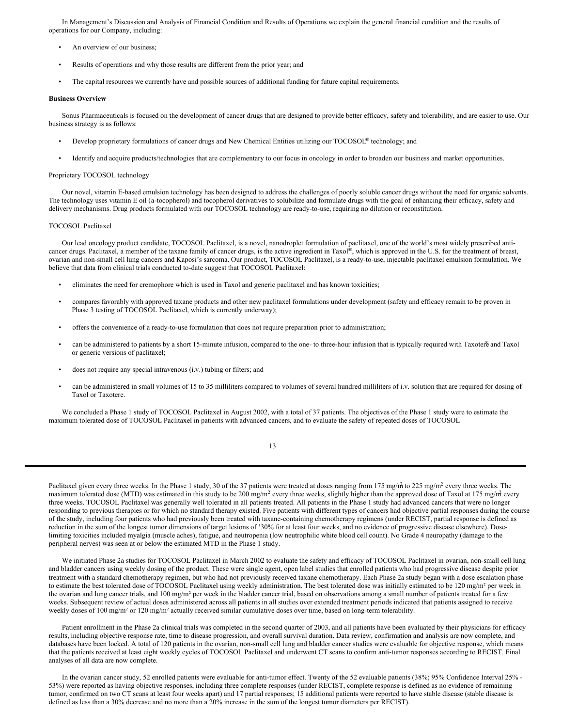In Management's Discussion and Analysis of Financial Condition and Results of Operations we explain the general financial condition and the results of operations for our Company, including:

- An overview of our business;
- Results of operations and why those results are different from the prior year; and
- The capital resources we currently have and possible sources of additional funding for future capital requirements.

#### **Business Overview**

Sonus Pharmaceuticals is focused on the development of cancer drugs that are designed to provide better efficacy, safety and tolerability, and are easier to use. Our business strategy is as follows:

- Develop proprietary formulations of cancer drugs and New Chemical Entities utilizing our  $TOCOSO<sup>®</sup>$  technology; and
- Identify and acquire products/technologies that are complementary to our focus in oncology in order to broaden our business and market opportunities.

## Proprietary TOCOSOL technology

Our novel, vitamin E-based emulsion technology has been designed to address the challenges of poorly soluble cancer drugs without the need for organic solvents. The technology uses vitamin E oil (a-tocopherol) and tocopherol derivatives to solubilize and formulate drugs with the goal of enhancing their efficacy, safety and delivery mechanisms. Drug products formulated with our TOCOSOL technology are ready-to-use, requiring no dilution or reconstitution.

### TOCOSOL Paclitaxel

Our lead oncology product candidate, TOCOSOL Paclitaxel, is a novel, nanodroplet formulation of paclitaxel, one of the world's most widely prescribed anticancer drugs. Paclitaxel, a member of the taxane family of cancer drugs, is the active ingredient in Taxol®, which is approved in the U.S. for the treatment of breast, ovarian and non-small cell lung cancers and Kaposi's sarcoma. Our product, TOCOSOL Paclitaxel, is a ready-to-use, injectable paclitaxel emulsion formulation. We believe that data from clinical trials conducted to-date suggest that TOCOSOL Paclitaxel:

- eliminates the need for cremophore which is used in Taxol and generic paclitaxel and has known toxicities;
- compares favorably with approved taxane products and other new paclitaxel formulations under development (safety and efficacy remain to be proven in Phase 3 testing of TOCOSOL Paclitaxel, which is currently underway);
- offers the convenience of a ready-to-use formulation that does not require preparation prior to administration;
- can be administered to patients by a short 15-minute infusion, compared to the one- to three-hour infusion that is typically required with Taxotere and Taxol or generic versions of paclitaxel;
- does not require any special intravenous (i.v.) tubing or filters; and
- can be administered in small volumes of 15 to 35 milliliters compared to volumes of several hundred milliliters of i.v. solution that are required for dosing of Taxol or Taxotere.

We concluded a Phase 1 study of TOCOSOL Paclitaxel in August 2002, with a total of 37 patients. The objectives of the Phase 1 study were to estimate the maximum tolerated dose of TOCOSOL Paclitaxel in patients with advanced cancers, and to evaluate the safety of repeated doses of TOCOSOL

## 13

Paclitaxel given every three weeks. In the Phase 1 study, 30 of the 37 patients were treated at doses ranging from 175 mg/m to 225 mg/m<sup>2</sup> every three weeks. The maximum tolerated dose (MTD) was estimated in this study to be 200 mg/m<sup>2</sup> every three weeks, slightly higher than the approved dose of Taxol at 175 mg/m<sup>2</sup> every three weeks. TOCOSOL Paclitaxel was generally well tolerated in all patients treated. All patients in the Phase 1 study had advanced cancers that were no longer responding to previous therapies or for which no standard therapy existed. Five patients with different types of cancers had objective partial responses during the course of the study, including four patients who had previously been treated with taxane-containing chemotherapy regimens (under RECIST, partial response is defined as reduction in the sum of the longest tumor dimensions of target lesions of <sup>3</sup>30% for at least four weeks, and no evidence of progressive disease elsewhere). Doselimiting toxicities included myalgia (muscle aches), fatigue, and neutropenia (low neutrophilic white blood cell count). No Grade 4 neuropathy (damage to the peripheral nerves) was seen at or below the estimated MTD in the Phase 1 study.

We initiated Phase 2a studies for TOCOSOL Paclitaxel in March 2002 to evaluate the safety and efficacy of TOCOSOL Paclitaxel in ovarian, non-small cell lung and bladder cancers using weekly dosing of the product. These were single agent, open label studies that enrolled patients who had progressive disease despite prior treatment with a standard chemotherapy regimen, but who had not previously received taxane chemotherapy. Each Phase 2a study began with a dose escalation phase to estimate the best tolerated dose of TOCOSOL Paclitaxel using weekly administration. The best tolerated dose was initially estimated to be 120 mg/m<sup>2</sup> per week in the ovarian and lung cancer trials, and 100 mg/m<sup>2</sup> per week in the bladder cancer trial, based on observations among a small number of patients treated for a few weeks. Subsequent review of actual doses administered across all patients in all studies over extended treatment periods indicated that patients assigned to receive weekly doses of 100 mg/m<sup>2</sup> or 120 mg/m<sup>2</sup> actually received similar cumulative doses over time, based on long-term tolerability.

Patient enrollment in the Phase 2a clinical trials was completed in the second quarter of 2003, and all patients have been evaluated by their physicians for efficacy results, including objective response rate, time to disease progression, and overall survival duration. Data review, confirmation and analysis are now complete, and databases have been locked. A total of 120 patients in the ovarian, non-small cell lung and bladder cancer studies were evaluable for objective response, which means that the patients received at least eight weekly cycles of TOCOSOL Paclitaxel and underwent CT scans to confirm anti-tumor responses according to RECIST. Final analyses of all data are now complete.

In the ovarian cancer study, 52 enrolled patients were evaluable for anti-tumor effect. Twenty of the 52 evaluable patients (38%; 95% Confidence Interval 25% - 53%) were reported as having objective responses, including three complete responses (under RECIST, complete response is defined as no evidence of remaining tumor, confirmed on two CT scans at least four weeks apart) and 17 partial responses; 15 additional patients were reported to have stable disease (stable disease is defined as less than a 30% decrease and no more than a 20% increase in the sum of the longest tumor diameters per RECIST).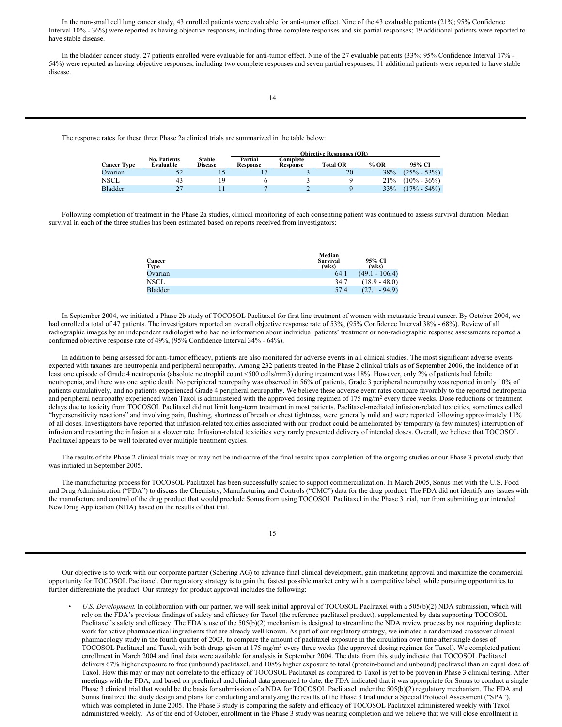In the non-small cell lung cancer study, 43 enrolled patients were evaluable for anti-tumor effect. Nine of the 43 evaluable patients (21%; 95% Confidence Interval 10% - 36%) were reported as having objective responses, including three complete responses and six partial responses; 19 additional patients were reported to have stable disease.

In the bladder cancer study, 27 patients enrolled were evaluable for anti-tumor effect. Nine of the 27 evaluable patients (33%; 95% Confidence Interval 17% - 54%) were reported as having objective responses, including two complete responses and seven partial responses; 11 additional patients were reported to have stable disease.

The response rates for these three Phase 2a clinical trials are summarized in the table below:

|                    |                                  |                                 | <b>Objective Responses (OR)</b> |                      |                 |        |                 |
|--------------------|----------------------------------|---------------------------------|---------------------------------|----------------------|-----------------|--------|-----------------|
| <b>Cancer Type</b> | <b>No. Patients</b><br>Evaluable | <b>Stable</b><br><b>Disease</b> | Partial<br>Response             | Complete<br>Response | <b>Total OR</b> | $%$ OR | 95% CI          |
| Ovarian            |                                  |                                 |                                 |                      | 20              | 38%    | $(25\% - 53\%)$ |
| NSCL               |                                  |                                 |                                 |                      |                 | 21%    | $(10\% - 36\%)$ |
| <b>Bladder</b>     |                                  |                                 |                                 |                      |                 | 33%    | $(17\% - 54\%)$ |

Following completion of treatment in the Phase 2a studies, clinical monitoring of each consenting patient was continued to assess survival duration. Median survival in each of the three studies has been estimated based on reports received from investigators:

| Cancer<br><b>Type</b> | Median<br>Survival<br>(wks) | 95% CI<br>(wks)  |
|-----------------------|-----------------------------|------------------|
| Ovarian               | 64.1                        | $(49.1 - 106.4)$ |
| <b>NSCL</b>           | 34.7                        | $(18.9 - 48.0)$  |
| <b>Bladder</b>        | 57.4                        | $(27.1 - 94.9)$  |

In September 2004, we initiated a Phase 2b study of TOCOSOL Paclitaxel for first line treatment of women with metastatic breast cancer. By October 2004, we had enrolled a total of 47 patients. The investigators reported an overall objective response rate of 53%, (95% Confidence Interval 38% - 68%). Review of all radiographic images by an independent radiologist who had no information about individual patients' treatment or non-radiographic response assessments reported a confirmed objective response rate of 49%, (95% Confidence Interval 34% - 64%).

In addition to being assessed for anti-tumor efficacy, patients are also monitored for adverse events in all clinical studies. The most significant adverse events expected with taxanes are neutropenia and peripheral neuropathy. Among 232 patients treated in the Phase 2 clinical trials as of September 2006, the incidence of at least one episode of Grade 4 neutropenia (absolute neutrophil count <500 cells/mm3) during treatment was 18%. However, only 2% of patients had febrile neutropenia, and there was one septic death. No peripheral neuropathy was observed in 56% of patients, Grade 3 peripheral neuropathy was reported in only 10% of patients cumulatively, and no patients experienced Grade 4 peripheral neuropathy. We believe these adverse event rates compare favorably to the reported neutropenia and peripheral neuropathy experienced when Taxol is administered with the approved dosing regimen of 175 mg/m<sup>2</sup> every three weeks. Dose reductions or treatment delays due to toxicity from TOCOSOL Paclitaxel did not limit long-term treatment in most patients. Paclitaxel-mediated infusion-related toxicities, sometimes called "hypersensitivity reactions" and involving pain, flushing, shortness of breath or chest tightness, were generally mild and were reported following approximately 11% of all doses. Investigators have reported that infusion-related toxicities associated with our product could be ameliorated by temporary (a few minutes) interruption of infusion and restarting the infusion at a slower rate. Infusion-related toxicities very rarely prevented delivery of intended doses. Overall, we believe that TOCOSOL Paclitaxel appears to be well tolerated over multiple treatment cycles.

The results of the Phase 2 clinical trials may or may not be indicative of the final results upon completion of the ongoing studies or our Phase 3 pivotal study that was initiated in September 2005.

The manufacturing process for TOCOSOL Paclitaxel has been successfully scaled to support commercialization. In March 2005, Sonus met with the U.S. Food and Drug Administration ("FDA") to discuss the Chemistry, Manufacturing and Controls ("CMC") data for the drug product. The FDA did not identify any issues with the manufacture and control of the drug product that would preclude Sonus from using TOCOSOL Paclitaxel in the Phase 3 trial, nor from submitting our intended New Drug Application (NDA) based on the results of that trial.

Our objective is to work with our corporate partner (Schering AG) to advance final clinical development, gain marketing approval and maximize the commercial opportunity for TOCOSOL Paclitaxel. Our regulatory strategy is to gain the fastest possible market entry with a competitive label, while pursuing opportunities to further differentiate the product. Our strategy for product approval includes the following:

• *U.S. Development.* In collaboration with our partner, we will seek initial approval of TOCOSOL Paclitaxel with a 505(b)(2) NDA submission, which will rely on the FDA's previous findings of safety and efficacy for Taxol (the reference paclitaxel product), supplemented by data supporting TOCOSOL Paclitaxel's safety and efficacy. The FDA's use of the 505(b)(2) mechanism is designed to streamline the NDA review process by not requiring duplicate work for active pharmaceutical ingredients that are already well known. As part of our regulatory strategy, we initiated a randomized crossover clinical pharmacology study in the fourth quarter of 2003, to compare the amount of paclitaxel exposure in the circulation over time after single doses of TOCOSOL Paclitaxel and Taxol, with both drugs given at 175 mg/m<sup>2</sup> every three weeks (the approved dosing regimen for Taxol). We completed patient enrollment in March 2004 and final data were available for analysis in September 2004. The data from this study indicate that TOCOSOL Paclitaxel delivers 67% higher exposure to free (unbound) paclitaxel, and 108% higher exposure to total (protein-bound and unbound) paclitaxel than an equal dose of Taxol. How this may or may not correlate to the efficacy of TOCOSOL Paclitaxel as compared to Taxol is yet to be proven in Phase 3 clinical testing. After meetings with the FDA, and based on preclinical and clinical data generated to date, the FDA indicated that it was appropriate for Sonus to conduct a single Phase 3 clinical trial that would be the basis for submission of a NDA for TOCOSOL Paclitaxel under the 505(b)(2) regulatory mechanism. The FDA and Sonus finalized the study design and plans for conducting and analyzing the results of the Phase 3 trial under a Special Protocol Assessment ("SPA"), which was completed in June 2005. The Phase 3 study is comparing the safety and efficacy of TOCOSOL Paclitaxel administered weekly with Taxol administered weekly. As of the end of October, enrollment in the Phase 3 study was nearing completion and we believe that we will close enrollment in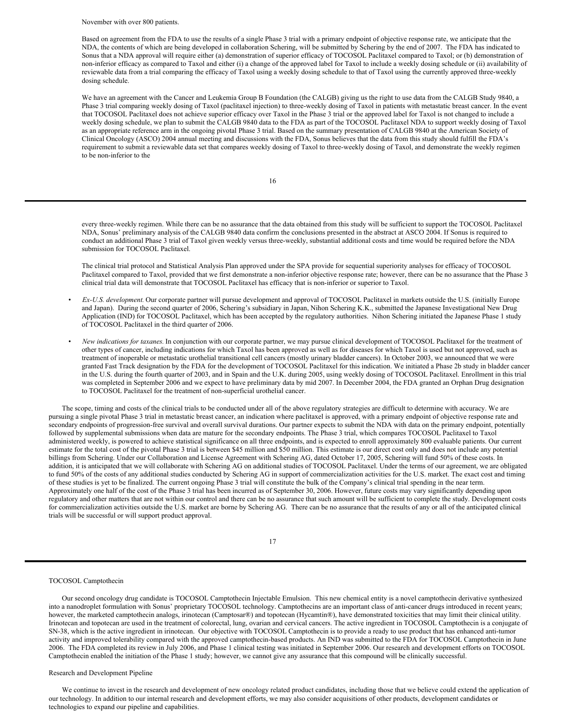November with over 800 patients.

Based on agreement from the FDA to use the results of a single Phase 3 trial with a primary endpoint of objective response rate, we anticipate that the NDA, the contents of which are being developed in collaboration Schering, will be submitted by Schering by the end of 2007. The FDA has indicated to Sonus that a NDA approval will require either (a) demonstration of superior efficacy of TOCOSOL Paclitaxel compared to Taxol; or (b) demonstration of non-inferior efficacy as compared to Taxol and either (i) a change of the approved label for Taxol to include a weekly dosing schedule or (ii) availability of reviewable data from a trial comparing the efficacy of Taxol using a weekly dosing schedule to that of Taxol using the currently approved three-weekly dosing schedule.

We have an agreement with the Cancer and Leukemia Group B Foundation (the CALGB) giving us the right to use data from the CALGB Study 9840, a Phase 3 trial comparing weekly dosing of Taxol (paclitaxel injection) to three-weekly dosing of Taxol in patients with metastatic breast cancer. In the event that TOCOSOL Paclitaxel does not achieve superior efficacy over Taxol in the Phase 3 trial or the approved label for Taxol is not changed to include a weekly dosing schedule, we plan to submit the CALGB 9840 data to the FDA as part of the TOCOSOL Paclitaxel NDA to support weekly dosing of Taxol as an appropriate reference arm in the ongoing pivotal Phase 3 trial. Based on the summary presentation of CALGB 9840 at the American Society of Clinical Oncology (ASCO) 2004 annual meeting and discussions with the FDA, Sonus believes that the data from this study should fulfill the FDA's requirement to submit a reviewable data set that compares weekly dosing of Taxol to three-weekly dosing of Taxol, and demonstrate the weekly regimen to be non-inferior to the

| ٠<br>i<br>I<br>×<br>٧ |
|-----------------------|
|                       |

every three-weekly regimen. While there can be no assurance that the data obtained from this study will be sufficient to support the TOCOSOL Paclitaxel NDA, Sonus' preliminary analysis of the CALGB 9840 data confirm the conclusions presented in the abstract at ASCO 2004. If Sonus is required to conduct an additional Phase 3 trial of Taxol given weekly versus three-weekly, substantial additional costs and time would be required before the NDA submission for TOCOSOL Paclitaxel.

The clinical trial protocol and Statistical Analysis Plan approved under the SPA provide for sequential superiority analyses for efficacy of TOCOSOL Paclitaxel compared to Taxol, provided that we first demonstrate a non-inferior objective response rate; however, there can be no assurance that the Phase 3 clinical trial data will demonstrate that TOCOSOL Paclitaxel has efficacy that is non-inferior or superior to Taxol.

- *Ex-U.S. development.* Our corporate partner will pursue development and approval of TOCOSOL Paclitaxel in markets outside the U.S. (initially Europe and Japan). During the second quarter of 2006, Schering's subsidiary in Japan, Nihon Schering K.K., submitted the Japanese Investigational New Drug Application (IND) for TOCOSOL Paclitaxel, which has been accepted by the regulatory authorities. Nihon Schering initiated the Japanese Phase 1 study of TOCOSOL Paclitaxel in the third quarter of 2006.
- *New indications for taxanes.* In conjunction with our corporate partner, we may pursue clinical development of TOCOSOL Paclitaxel for the treatment of other types of cancer, including indications for which Taxol has been approved as well as for diseases for which Taxol is used but not approved, such as treatment of inoperable or metastatic urothelial transitional cell cancers (mostly urinary bladder cancers). In October 2003, we announced that we were granted Fast Track designation by the FDA for the development of TOCOSOL Paclitaxel for this indication. We initiated a Phase 2b study in bladder cancer in the U.S. during the fourth quarter of 2003, and in Spain and the U.K. during 2005, using weekly dosing of TOCOSOL Paclitaxel. Enrollment in this trial was completed in September 2006 and we expect to have preliminary data by mid 2007. In December 2004, the FDA granted an Orphan Drug designation to TOCOSOL Paclitaxel for the treatment of non-superficial urothelial cancer.

The scope, timing and costs of the clinical trials to be conducted under all of the above regulatory strategies are difficult to determine with accuracy. We are pursuing a single pivotal Phase 3 trial in metastatic breast cancer, an indication where paclitaxel is approved, with a primary endpoint of objective response rate and secondary endpoints of progression-free survival and overall survival durations. Our partner expects to submit the NDA with data on the primary endpoint, potentially followed by supplemental submissions when data are mature for the secondary endpoints. The Phase 3 trial, which compares TOCOSOL Paclitaxel to Taxol administered weekly, is powered to achieve statistical significance on all three endpoints, and is expected to enroll approximately 800 evaluable patients. Our current estimate for the total cost of the pivotal Phase 3 trial is between \$45 million and \$50 million. This estimate is our direct cost only and does not include any potential billings from Schering. Under our Collaboration and License Agreement with Schering AG, dated October 17, 2005, Schering will fund 50% of these costs. In addition, it is anticipated that we will collaborate with Schering AG on additional studies of TOCOSOL Paclitaxel. Under the terms of our agreement, we are obligated to fund 50% of the costs of any additional studies conducted by Schering AG in support of commercialization activities for the U.S. market. The exact cost and timing of these studies is yet to be finalized. The current ongoing Phase 3 trial will constitute the bulk of the Company's clinical trial spending in the near term. Approximately one half of the cost of the Phase 3 trial has been incurred as of September 30, 2006. However, future costs may vary significantly depending upon regulatory and other matters that are not within our control and there can be no assurance that such amount will be sufficient to complete the study. Development costs for commercialization activities outside the U.S. market are borne by Schering AG. There can be no assurance that the results of any or all of the anticipated clinical trials will be successful or will support product approval.

## TOCOSOL Camptothecin

Our second oncology drug candidate is TOCOSOL Camptothecin Injectable Emulsion. This new chemical entity is a novel camptothecin derivative synthesized into a nanodroplet formulation with Sonus' proprietary TOCOSOL technology. Camptothecins are an important class of anti-cancer drugs introduced in recent years; however, the marketed camptothecin analogs, irinotecan (Camptosar®) and topotecan (Hycamtin®), have demonstrated toxicities that may limit their clinical utility. Irinotecan and topotecan are used in the treatment of colorectal, lung, ovarian and cervical cancers. The active ingredient in TOCOSOL Camptothecin is a conjugate of SN-38, which is the active ingredient in irinotecan. Our objective with TOCOSOL Camptothecin is to provide a ready to use product that has enhanced anti-tumor activity and improved tolerability compared with the approved camptothecin-based products. An IND was submitted to the FDA for TOCOSOL Camptothecin in June 2006. The FDA completed its review in July 2006, and Phase 1 clinical testing was initiated in September 2006. Our research and development efforts on TOCOSOL Camptothecin enabled the initiation of the Phase 1 study; however, we cannot give any assurance that this compound will be clinically successful.

#### Research and Development Pipeline

We continue to invest in the research and development of new oncology related product candidates, including those that we believe could extend the application of our technology. In addition to our internal research and development efforts, we may also consider acquisitions of other products, development candidates or technologies to expand our pipeline and capabilities.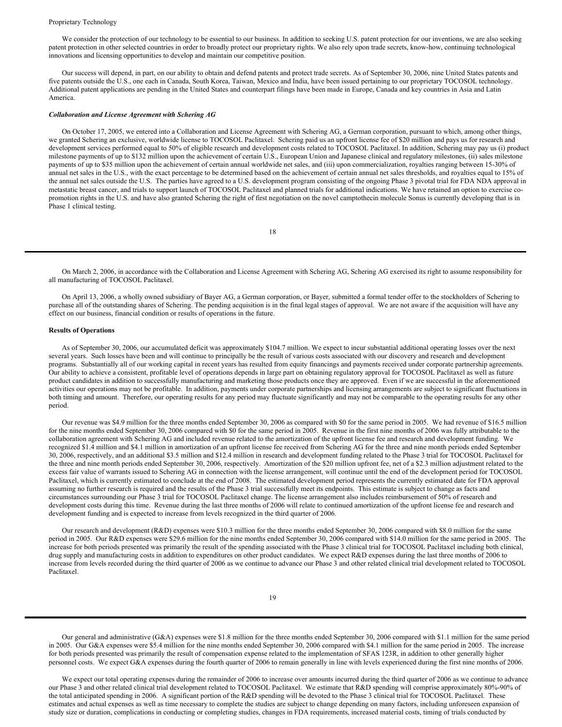#### Proprietary Technology

We consider the protection of our technology to be essential to our business. In addition to seeking U.S. patent protection for our inventions, we are also seeking patent protection in other selected countries in order to broadly protect our proprietary rights. We also rely upon trade secrets, know-how, continuing technological innovations and licensing opportunities to develop and maintain our competitive position.

Our success will depend, in part, on our ability to obtain and defend patents and protect trade secrets. As of September 30, 2006, nine United States patents and five patents outside the U.S., one each in Canada, South Korea, Taiwan, Mexico and India, have been issued pertaining to our proprietary TOCOSOL technology. Additional patent applications are pending in the United States and counterpart filings have been made in Europe, Canada and key countries in Asia and Latin America.

#### *Collaboration and License Agreement with Schering AG*

On October 17, 2005, we entered into a Collaboration and License Agreement with Schering AG, a German corporation, pursuant to which, among other things, we granted Schering an exclusive, worldwide license to TOCOSOL Paclitaxel. Schering paid us an upfront license fee of \$20 million and pays us for research and development services performed equal to 50% of eligible research and development costs related to TOCOSOL Paclitaxel. In addition, Schering may pay us (i) product milestone payments of up to \$132 million upon the achievement of certain U.S., European Union and Japanese clinical and regulatory milestones, (ii) sales milestone payments of up to \$35 million upon the achievement of certain annual worldwide net sales, and (iii) upon commercialization, royalties ranging between 15-30% of annual net sales in the U.S., with the exact percentage to be determined based on the achievement of certain annual net sales thresholds, and royalties equal to 15% of the annual net sales outside the U.S. The parties have agreed to a U.S. development program consisting of the ongoing Phase 3 pivotal trial for FDA NDA approval in metastatic breast cancer, and trials to support launch of TOCOSOL Paclitaxel and planned trials for additional indications. We have retained an option to exercise copromotion rights in the U.S. and have also granted Schering the right of first negotiation on the novel camptothecin molecule Sonus is currently developing that is in Phase 1 clinical testing.

On March 2, 2006, in accordance with the Collaboration and License Agreement with Schering AG, Schering AG exercised its right to assume responsibility for all manufacturing of TOCOSOL Paclitaxel.

On April 13, 2006, a wholly owned subsidiary of Bayer AG, a German corporation, or Bayer, submitted a formal tender offer to the stockholders of Schering to purchase all of the outstanding shares of Schering. The pending acquisition is in the final legal stages of approval. We are not aware if the acquisition will have any effect on our business, financial condition or results of operations in the future.

#### **Results of Operations**

As of September 30, 2006, our accumulated deficit was approximately \$104.7 million. We expect to incur substantial additional operating losses over the next several years. Such losses have been and will continue to principally be the result of various costs associated with our discovery and research and development programs. Substantially all of our working capital in recent years has resulted from equity financings and payments received under corporate partnership agreements. Our ability to achieve a consistent, profitable level of operations depends in large part on obtaining regulatory approval for TOCOSOL Paclitaxel as well as future product candidates in addition to successfully manufacturing and marketing those products once they are approved. Even if we are successful in the aforementioned activities our operations may not be profitable. In addition, payments under corporate partnerships and licensing arrangements are subject to significant fluctuations in both timing and amount. Therefore, our operating results for any period may fluctuate significantly and may not be comparable to the operating results for any other period.

Our revenue was \$4.9 million for the three months ended September 30, 2006 as compared with \$0 for the same period in 2005. We had revenue of \$16.5 million for the nine months ended September 30, 2006 compared with \$0 for the same period in 2005. Revenue in the first nine months of 2006 was fully attributable to the collaboration agreement with Schering AG and included revenue related to the amortization of the upfront license fee and research and development funding. We recognized \$1.4 million and \$4.1 million in amortization of an upfront license fee received from Schering AG for the three and nine month periods ended September 30, 2006, respectively, and an additional \$3.5 million and \$12.4 million in research and development funding related to the Phase 3 trial for TOCOSOL Paclitaxel for the three and nine month periods ended September 30, 2006, respectively. Amortization of the \$20 million upfront fee, net of a \$2.3 million adjustment related to the excess fair value of warrants issued to Schering AG in connection with the license arrangement, will continue until the end of the development period for TOCOSOL Paclitaxel, which is currently estimated to conclude at the end of 2008. The estimated development period represents the currently estimated date for FDA approval assuming no further research is required and the results of the Phase 3 trial successfully meet its endpoints. This estimate is subject to change as facts and circumstances surrounding our Phase 3 trial for TOCOSOL Paclitaxel change. The license arrangement also includes reimbursement of 50% of research and development costs during this time. Revenue during the last three months of 2006 will relate to continued amortization of the upfront license fee and research and development funding and is expected to increase from levels recognized in the third quarter of 2006.

Our research and development (R&D) expenses were \$10.3 million for the three months ended September 30, 2006 compared with \$8.0 million for the same period in 2005. Our R&D expenses were \$29.6 million for the nine months ended September 30, 2006 compared with \$14.0 million for the same period in 2005. The increase for both periods presented was primarily the result of the spending associated with the Phase 3 clinical trial for TOCOSOL Paclitaxel including both clinical, drug supply and manufacturing costs in addition to expenditures on other product candidates. We expect R&D expenses during the last three months of 2006 to increase from levels recorded during the third quarter of 2006 as we continue to advance our Phase 3 and other related clinical trial development related to TOCOSOL Paclitaxel.

Our general and administrative (G&A) expenses were \$1.8 million for the three months ended September 30, 2006 compared with \$1.1 million for the same period in 2005. Our G&A expenses were \$5.4 million for the nine months ended September 30, 2006 compared with \$4.1 million for the same period in 2005. The increase for both periods presented was primarily the result of compensation expense related to the implementation of SFAS 123R, in addition to other generally higher personnel costs. We expect G&A expenses during the fourth quarter of 2006 to remain generally in line with levels experienced during the first nine months of 2006.

We expect our total operating expenses during the remainder of 2006 to increase over amounts incurred during the third quarter of 2006 as we continue to advance our Phase 3 and other related clinical trial development related to TOCOSOL Paclitaxel. We estimate that R&D spending will comprise approximately 80%-90% of the total anticipated spending in 2006. A significant portion of the R&D spending will be devoted to the Phase 3 clinical trial for TOCOSOL Paclitaxel. These estimates and actual expenses as well as time necessary to complete the studies are subject to change depending on many factors, including unforeseen expansion of study size or duration, complications in conducting or completing studies, changes in FDA requirements, increased material costs, timing of trials conducted by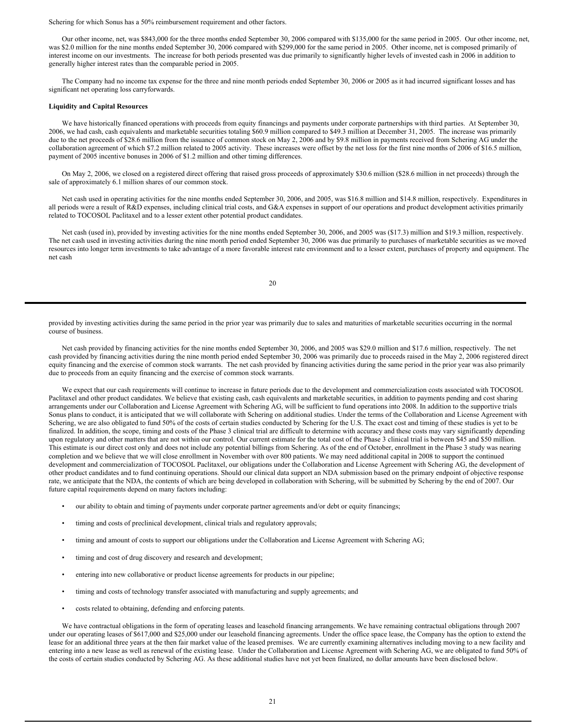Schering for which Sonus has a 50% reimbursement requirement and other factors.

Our other income, net, was \$843,000 for the three months ended September 30, 2006 compared with \$135,000 for the same period in 2005. Our other income, net, was \$2.0 million for the nine months ended September 30, 2006 compared with \$299,000 for the same period in 2005. Other income, net is composed primarily of interest income on our investments. The increase for both periods presented was due primarily to significantly higher levels of invested cash in 2006 in addition to generally higher interest rates than the comparable period in 2005.

The Company had no income tax expense for the three and nine month periods ended September 30, 2006 or 2005 as it had incurred significant losses and has significant net operating loss carryforwards.

## **Liquidity and Capital Resources**

We have historically financed operations with proceeds from equity financings and payments under corporate partnerships with third parties. At September 30, 2006, we had cash, cash equivalents and marketable securities totaling \$60.9 million compared to \$49.3 million at December 31, 2005. The increase was primarily due to the net proceeds of \$28.6 million from the issuance of common stock on May 2, 2006 and by \$9.8 million in payments received from Schering AG under the collaboration agreement of which \$7.2 million related to 2005 activity. These increases were offset by the net loss for the first nine months of 2006 of \$16.5 million, payment of 2005 incentive bonuses in 2006 of \$1.2 million and other timing differences.

On May 2, 2006, we closed on a registered direct offering that raised gross proceeds of approximately \$30.6 million (\$28.6 million in net proceeds) through the sale of approximately 6.1 million shares of our common stock.

Net cash used in operating activities for the nine months ended September 30, 2006, and 2005, was \$16.8 million and \$14.8 million, respectively. Expenditures in all periods were a result of R&D expenses, including clinical trial costs, and G&A expenses in support of our operations and product development activities primarily related to TOCOSOL Paclitaxel and to a lesser extent other potential product candidates.

Net cash (used in), provided by investing activities for the nine months ended September 30, 2006, and 2005 was (\$17.3) million and \$19.3 million, respectively. The net cash used in investing activities during the nine month period ended September 30, 2006 was due primarily to purchases of marketable securities as we moved resources into longer term investments to take advantage of a more favorable interest rate environment and to a lesser extent, purchases of property and equipment. The net cash

20

provided by investing activities during the same period in the prior year was primarily due to sales and maturities of marketable securities occurring in the normal course of business.

Net cash provided by financing activities for the nine months ended September 30, 2006, and 2005 was \$29.0 million and \$17.6 million, respectively. The net cash provided by financing activities during the nine month period ended September 30, 2006 was primarily due to proceeds raised in the May 2, 2006 registered direct equity financing and the exercise of common stock warrants. The net cash provided by financing activities during the same period in the prior year was also primarily due to proceeds from an equity financing and the exercise of common stock warrants.

We expect that our cash requirements will continue to increase in future periods due to the development and commercialization costs associated with TOCOSOL Paclitaxel and other product candidates. We believe that existing cash, cash equivalents and marketable securities, in addition to payments pending and cost sharing arrangements under our Collaboration and License Agreement with Schering AG, will be sufficient to fund operations into 2008. In addition to the supportive trials Sonus plans to conduct, it is anticipated that we will collaborate with Schering on additional studies. Under the terms of the Collaboration and License Agreement with Schering, we are also obligated to fund 50% of the costs of certain studies conducted by Schering for the U.S. The exact cost and timing of these studies is yet to be finalized. In addition, the scope, timing and costs of the Phase 3 clinical trial are difficult to determine with accuracy and these costs may vary significantly depending upon regulatory and other matters that are not within our control. Our current estimate for the total cost of the Phase 3 clinical trial is between \$45 and \$50 million. This estimate is our direct cost only and does not include any potential billings from Schering. As of the end of October, enrollment in the Phase 3 study was nearing completion and we believe that we will close enrollment in November with over 800 patients. We may need additional capital in 2008 to support the continued development and commercialization of TOCOSOL Paclitaxel, our obligations under the Collaboration and License Agreement with Schering AG, the development of other product candidates and to fund continuing operations. Should our clinical data support an NDA submission based on the primary endpoint of objective response rate, we anticipate that the NDA, the contents of which are being developed in collaboration with Schering, will be submitted by Schering by the end of 2007. Our future capital requirements depend on many factors including:

- our ability to obtain and timing of payments under corporate partner agreements and/or debt or equity financings;
- timing and costs of preclinical development, clinical trials and regulatory approvals;
- timing and amount of costs to support our obligations under the Collaboration and License Agreement with Schering AG;
- timing and cost of drug discovery and research and development;
- entering into new collaborative or product license agreements for products in our pipeline;
- timing and costs of technology transfer associated with manufacturing and supply agreements; and
- costs related to obtaining, defending and enforcing patents.

We have contractual obligations in the form of operating leases and leasehold financing arrangements. We have remaining contractual obligations through 2007 under our operating leases of \$617,000 and \$25,000 under our leasehold financing agreements. Under the office space lease, the Company has the option to extend the lease for an additional three years at the then fair market value of the leased premises. We are currently examining alternatives including moving to a new facility and entering into a new lease as well as renewal of the existing lease. Under the Collaboration and License Agreement with Schering AG, we are obligated to fund 50% of the costs of certain studies conducted by Schering AG. As these additional studies have not yet been finalized, no dollar amounts have been disclosed below.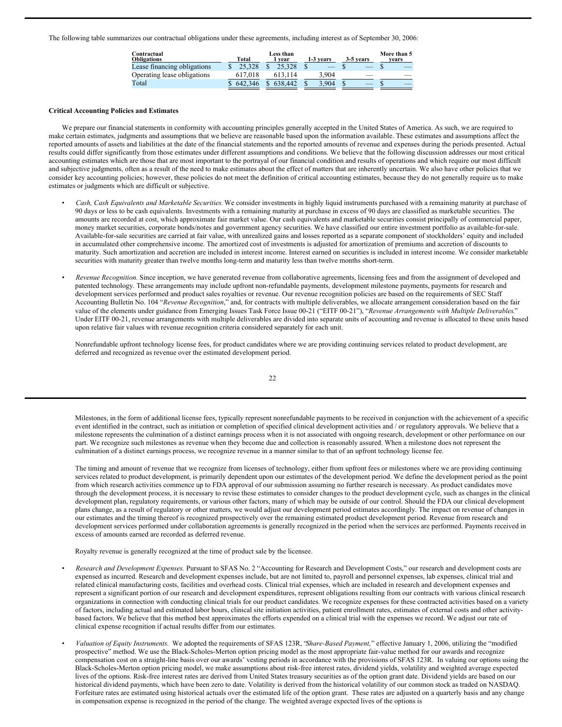The following table summarizes our contractual obligations under these agreements, including interest as of September 30, 2006:

| Contractual<br><b>Obligations</b> | Total   | Less than<br>vear | 1-3 years | 3-5 years | More than 5<br>vears |
|-----------------------------------|---------|-------------------|-----------|-----------|----------------------|
| Lease financing obligations       | 25.328  | 25.328            |           |           |                      |
| Operating lease obligations       | 617.018 | 613.114           | 3.904     | ___       |                      |
| Total                             | 642,346 | 638,442           | 3.904     | _         |                      |

#### **Critical Accounting Policies and Estimates**

We prepare our financial statements in conformity with accounting principles generally accepted in the United States of America. As such, we are required to make certain estimates, judgments and assumptions that we believe are reasonable based upon the information available. These estimates and assumptions affect the reported amounts of assets and liabilities at the date of the financial statements and the reported amounts of revenue and expenses during the periods presented. Actual results could differ significantly from those estimates under different assumptions and conditions. We believe that the following discussion addresses our most critical accounting estimates which are those that are most important to the portrayal of our financial condition and results of operations and which require our most difficult and subjective judgments, often as a result of the need to make estimates about the effect of matters that are inherently uncertain. We also have other policies that we consider key accounting policies; however, these policies do not meet the definition of critical accounting estimates, because they do not generally require us to make estimates or judgments which are difficult or subjective.

- *Cash, Cash Equivalents and Marketable Securities.*We consider investments in highly liquid instruments purchased with a remaining maturity at purchase of 90 days or less to be cash equivalents. Investments with a remaining maturity at purchase in excess of 90 days are classified as marketable securities. The amounts are recorded at cost, which approximate fair market value. Our cash equivalents and marketable securities consist principally of commercial paper, money market securities, corporate bonds/notes and government agency securities. We have classified our entire investment portfolio as available-for-sale. Available-for-sale securities are carried at fair value, with unrealized gains and losses reported as a separate component of stockholders' equity and included in accumulated other comprehensive income. The amortized cost of investments is adjusted for amortization of premiums and accretion of discounts to maturity. Such amortization and accretion are included in interest income. Interest earned on securities is included in interest income. We consider marketable securities with maturity greater than twelve months long-term and maturity less than twelve months short-term.
- *Revenue Recognition.* Since inception, we have generated revenue from collaborative agreements, licensing fees and from the assignment of developed and patented technology. These arrangements may include upfront non-refundable payments, development milestone payments, payments for research and development services performed and product sales royalties or revenue. Our revenue recognition policies are based on the requirements of SEC Staff Accounting Bulletin No. 104 "*Revenue Recognition*," and, for contracts with multiple deliverables, we allocate arrangement consideration based on the fair value of the elements under guidance from Emerging Issues Task Force Issue 00-21 ("EITF 00-21"), "*Revenue Arrangements with Multiple Deliverables*." Under EITF 00-21, revenue arrangements with multiple deliverables are divided into separate units of accounting and revenue is allocated to these units based upon relative fair values with revenue recognition criteria considered separately for each unit.

Nonrefundable upfront technology license fees, for product candidates where we are providing continuing services related to product development, are deferred and recognized as revenue over the estimated development period.

22

Milestones, in the form of additional license fees, typically represent nonrefundable payments to be received in conjunction with the achievement of a specific event identified in the contract, such as initiation or completion of specified clinical development activities and / or regulatory approvals. We believe that a milestone represents the culmination of a distinct earnings process when it is not associated with ongoing research, development or other performance on our part. We recognize such milestones as revenue when they become due and collection is reasonably assured. When a milestone does not represent the culmination of a distinct earnings process, we recognize revenue in a manner similar to that of an upfront technology license fee.

The timing and amount of revenue that we recognize from licenses of technology, either from upfront fees or milestones where we are providing continuing services related to product development, is primarily dependent upon our estimates of the development period. We define the development period as the point from which research activities commence up to FDA approval of our submission assuming no further research is necessary. As product candidates move through the development process, it is necessary to revise these estimates to consider changes to the product development cycle, such as changes in the clinical development plan, regulatory requirements, or various other factors, many of which may be outside of our control. Should the FDA our clinical development plans change, as a result of regulatory or other matters, we would adjust our development period estimates accordingly. The impact on revenue of changes in our estimates and the timing thereof is recognized prospectively over the remaining estimated product development period. Revenue from research and development services performed under collaboration agreements is generally recognized in the period when the services are performed. Payments received in excess of amounts earned are recorded as deferred revenue.

Royalty revenue is generally recognized at the time of product sale by the licensee.

- *Research and Development Expenses.* Pursuant to SFAS No. 2 "Accounting for Research and Development Costs," our research and development costs are expensed as incurred. Research and development expenses include, but are not limited to, payroll and personnel expenses, lab expenses, clinical trial and related clinical manufacturing costs, facilities and overhead costs. Clinical trial expenses, which are included in research and development expenses and represent a significant portion of our research and development expenditures, represent obligations resulting from our contracts with various clinical research organizations in connection with conducting clinical trials for our product candidates. We recognize expenses for these contracted activities based on a variety of factors, including actual and estimated labor hours, clinical site initiation activities, patient enrollment rates, estimates of external costs and other activitybased factors. We believe that this method best approximates the efforts expended on a clinical trial with the expenses we record. We adjust our rate of clinical expense recognition if actual results differ from our estimates.
- *Valuation of Equity Instruments.* We adopted the requirements of SFAS 123R, "*Share-Based Payment,*" effective January 1, 2006, utilizing the "modified prospective" method. We use the Black-Scholes-Merton option pricing model as the most appropriate fair-value method for our awards and recognize compensation cost on a straight-line basis over our awards' vesting periods in accordance with the provisions of SFAS 123R. In valuing our options using the Black-Scholes-Merton option pricing model, we make assumptions about risk-free interest rates, dividend yields, volatility and weighted average expected lives of the options. Risk-free interest rates are derived from United States treasury securities as of the option grant date. Dividend yields are based on our historical dividend payments, which have been zero to date. Volatility is derived from the historical volatility of our common stock as traded on NASDAQ. Forfeiture rates are estimated using historical actuals over the estimated life of the option grant. These rates are adjusted on a quarterly basis and any change in compensation expense is recognized in the period of the change. The weighted average expected lives of the options is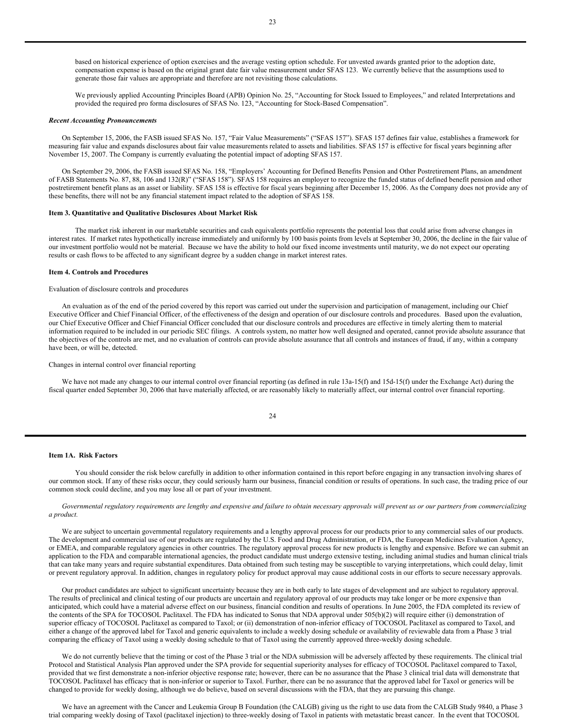based on historical experience of option exercises and the average vesting option schedule. For unvested awards granted prior to the adoption date, compensation expense is based on the original grant date fair value measurement under SFAS 123. We currently believe that the assumptions used to generate those fair values are appropriate and therefore are not revisiting those calculations.

We previously applied Accounting Principles Board (APB) Opinion No. 25, "Accounting for Stock Issued to Employees," and related Interpretations and provided the required pro forma disclosures of SFAS No. 123, "Accounting for Stock-Based Compensation".

## *Recent Accounting Pronouncements*

On September 15, 2006, the FASB issued SFAS No. 157, "Fair Value Measurements" ("SFAS 157"). SFAS 157 defines fair value, establishes a framework for measuring fair value and expands disclosures about fair value measurements related to assets and liabilities. SFAS 157 is effective for fiscal years beginning after November 15, 2007. The Company is currently evaluating the potential impact of adopting SFAS 157.

On September 29, 2006, the FASB issued SFAS No. 158, "Employers' Accounting for Defined Benefits Pension and Other Postretirement Plans, an amendment of FASB Statements No. 87, 88, 106 and 132(R)" ("SFAS 158"). SFAS 158 requires an employer to recognize the funded status of defined benefit pension and other postretirement benefit plans as an asset or liability. SFAS 158 is effective for fiscal years beginning after December 15, 2006. As the Company does not provide any of these benefits, there will not be any financial statement impact related to the adoption of SFAS 158.

## <span id="page-13-0"></span>**Item 3. Quantitative and Qualitative Disclosures About Market Risk**

The market risk inherent in our marketable securities and cash equivalents portfolio represents the potential loss that could arise from adverse changes in interest rates. If market rates hypothetically increase immediately and uniformly by 100 basis points from levels at September 30, 2006, the decline in the fair value of our investment portfolio would not be material. Because we have the ability to hold our fixed income investments until maturity, we do not expect our operating results or cash flows to be affected to any significant degree by a sudden change in market interest rates.

#### <span id="page-13-1"></span>**Item 4. Controls and Procedures**

#### Evaluation of disclosure controls and procedures

An evaluation as of the end of the period covered by this report was carried out under the supervision and participation of management, including our Chief Executive Officer and Chief Financial Officer, of the effectiveness of the design and operation of our disclosure controls and procedures. Based upon the evaluation, our Chief Executive Officer and Chief Financial Officer concluded that our disclosure controls and procedures are effective in timely alerting them to material information required to be included in our periodic SEC filings. A controls system, no matter how well designed and operated, cannot provide absolute assurance that the objectives of the controls are met, and no evaluation of controls can provide absolute assurance that all controls and instances of fraud, if any, within a company have been, or will be, detected.

## Changes in internal control over financial reporting

We have not made any changes to our internal control over financial reporting (as defined in rule 13a-15(f) and 15d-15(f) under the Exchange Act) during the fiscal quarter ended September 30, 2006 that have materially affected, or are reasonably likely to materially affect, our internal control over financial reporting.

## <span id="page-13-2"></span>**Item 1A. Risk Factors**

You should consider the risk below carefully in addition to other information contained in this report before engaging in any transaction involving shares of our common stock. If any of these risks occur, they could seriously harm our business, financial condition or results of operations. In such case, the trading price of our common stock could decline, and you may lose all or part of your investment.

Governmental regulatory requirements are lengthy and expensive and failure to obtain necessary approvals will prevent us or our partners from commercializing *a product.*

We are subject to uncertain governmental regulatory requirements and a lengthy approval process for our products prior to any commercial sales of our products. The development and commercial use of our products are regulated by the U.S. Food and Drug Administration, or FDA, the European Medicines Evaluation Agency, or EMEA, and comparable regulatory agencies in other countries. The regulatory approval process for new products is lengthy and expensive. Before we can submit an application to the FDA and comparable international agencies, the product candidate must undergo extensive testing, including animal studies and human clinical trials that can take many years and require substantial expenditures. Data obtained from such testing may be susceptible to varying interpretations, which could delay, limit or prevent regulatory approval. In addition, changes in regulatory policy for product approval may cause additional costs in our efforts to secure necessary approvals.

Our product candidates are subject to significant uncertainty because they are in both early to late stages of development and are subject to regulatory approval. The results of preclinical and clinical testing of our products are uncertain and regulatory approval of our products may take longer or be more expensive than anticipated, which could have a material adverse effect on our business, financial condition and results of operations. In June 2005, the FDA completed its review of the contents of the SPA for TOCOSOL Paclitaxel. The FDA has indicated to Sonus that NDA approval under 505(b)(2) will require either (i) demonstration of superior efficacy of TOCOSOL Paclitaxel as compared to Taxol; or (ii) demonstration of non-inferior efficacy of TOCOSOL Paclitaxel as compared to Taxol, and either a change of the approved label for Taxol and generic equivalents to include a weekly dosing schedule or availability of reviewable data from a Phase 3 trial comparing the efficacy of Taxol using a weekly dosing schedule to that of Taxol using the currently approved three-weekly dosing schedule.

We do not currently believe that the timing or cost of the Phase 3 trial or the NDA submission will be adversely affected by these requirements. The clinical trial Protocol and Statistical Analysis Plan approved under the SPA provide for sequential superiority analyses for efficacy of TOCOSOL Paclitaxel compared to Taxol, provided that we first demonstrate a non-inferior objective response rate; however, there can be no assurance that the Phase 3 clinical trial data will demonstrate that TOCOSOL Paclitaxel has efficacy that is non-inferior or superior to Taxol. Further, there can be no assurance that the approved label for Taxol or generics will be changed to provide for weekly dosing, although we do believe, based on several discussions with the FDA, that they are pursuing this change.

We have an agreement with the Cancer and Leukemia Group B Foundation (the CALGB) giving us the right to use data from the CALGB Study 9840, a Phase 3 trial comparing weekly dosing of Taxol (paclitaxel injection) to three-weekly dosing of Taxol in patients with metastatic breast cancer. In the event that TOCOSOL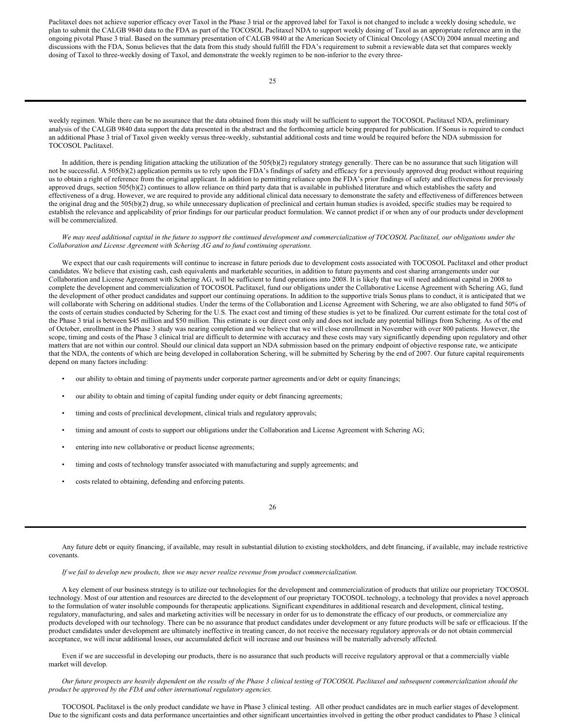Paclitaxel does not achieve superior efficacy over Taxol in the Phase 3 trial or the approved label for Taxol is not changed to include a weekly dosing schedule, we plan to submit the CALGB 9840 data to the FDA as part of the TOCOSOL Paclitaxel NDA to support weekly dosing of Taxol as an appropriate reference arm in the ongoing pivotal Phase 3 trial. Based on the summary presentation of CALGB 9840 at the American Society of Clinical Oncology (ASCO) 2004 annual meeting and discussions with the FDA, Sonus believes that the data from this study should fulfill the FDA's requirement to submit a reviewable data set that compares weekly dosing of Taxol to three-weekly dosing of Taxol, and demonstrate the weekly regimen to be non-inferior to the every three-

weekly regimen. While there can be no assurance that the data obtained from this study will be sufficient to support the TOCOSOL Paclitaxel NDA, preliminary analysis of the CALGB 9840 data support the data presented in the abstract and the forthcoming article being prepared for publication. If Sonus is required to conduct an additional Phase 3 trial of Taxol given weekly versus three-weekly, substantial additional costs and time would be required before the NDA submission for TOCOSOL Paclitaxel.

In addition, there is pending litigation attacking the utilization of the 505(b)(2) regulatory strategy generally. There can be no assurance that such litigation will not be successful. A 505(b)(2) application permits us to rely upon the FDA's findings of safety and efficacy for a previously approved drug product without requiring us to obtain a right of reference from the original applicant. In addition to permitting reliance upon the FDA's prior findings of safety and effectiveness for previously approved drugs, section 505(b)(2) continues to allow reliance on third party data that is available in published literature and which establishes the safety and effectiveness of a drug. However, we are required to provide any additional clinical data necessary to demonstrate the safety and effectiveness of differences between the original drug and the 505(b)(2) drug, so while unnecessary duplication of preclinical and certain human studies is avoided, specific studies may be required to establish the relevance and applicability of prior findings for our particular product formulation. We cannot predict if or when any of our products under development will be commercialized.

## We may need additional capital in the future to support the continued development and commercialization of TOCOSOL Paclitaxel, our obligations under the *Collaboration and License Agreement with Schering AG and to fund continuing operations.*

We expect that our cash requirements will continue to increase in future periods due to development costs associated with TOCOSOL Paclitaxel and other product candidates. We believe that existing cash, cash equivalents and marketable securities, in addition to future payments and cost sharing arrangements under our Collaboration and License Agreement with Schering AG, will be sufficient to fund operations into 2008. It is likely that we will need additional capital in 2008 to complete the development and commercialization of TOCOSOL Paclitaxel, fund our obligations under the Collaborative License Agreement with Schering AG, fund the development of other product candidates and support our continuing operations. In addition to the supportive trials Sonus plans to conduct, it is anticipated that we will collaborate with Schering on additional studies. Under the terms of the Collaboration and License Agreement with Schering, we are also obligated to fund 50% of the costs of certain studies conducted by Schering for the U.S. The exact cost and timing of these studies is yet to be finalized. Our current estimate for the total cost of the Phase 3 trial is between \$45 million and \$50 million. This estimate is our direct cost only and does not include any potential billings from Schering. As of the end of October, enrollment in the Phase 3 study was nearing completion and we believe that we will close enrollment in November with over 800 patients. However, the scope, timing and costs of the Phase 3 clinical trial are difficult to determine with accuracy and these costs may vary significantly depending upon regulatory and other matters that are not within our control. Should our clinical data support an NDA submission based on the primary endpoint of objective response rate, we anticipate that the NDA, the contents of which are being developed in collaboration Schering, will be submitted by Schering by the end of 2007. Our future capital requirements depend on many factors including:

- our ability to obtain and timing of payments under corporate partner agreements and/or debt or equity financings;
- our ability to obtain and timing of capital funding under equity or debt financing agreements;
- timing and costs of preclinical development, clinical trials and regulatory approvals;
- timing and amount of costs to support our obligations under the Collaboration and License Agreement with Schering AG;
- entering into new collaborative or product license agreements;
- timing and costs of technology transfer associated with manufacturing and supply agreements; and
- costs related to obtaining, defending and enforcing patents.

26

Any future debt or equity financing, if available, may result in substantial dilution to existing stockholders, and debt financing, if available, may include restrictive covenants.

### *If we fail to develop new products, then we may never realize revenue from product commercialization.*

A key element of our business strategy is to utilize our technologies for the development and commercialization of products that utilize our proprietary TOCOSOL technology. Most of our attention and resources are directed to the development of our proprietary TOCOSOL technology, a technology that provides a novel approach to the formulation of water insoluble compounds for therapeutic applications. Significant expenditures in additional research and development, clinical testing, regulatory, manufacturing, and sales and marketing activities will be necessary in order for us to demonstrate the efficacy of our products, or commercialize any products developed with our technology. There can be no assurance that product candidates under development or any future products will be safe or efficacious. If the product candidates under development are ultimately ineffective in treating cancer, do not receive the necessary regulatory approvals or do not obtain commercial acceptance, we will incur additional losses, our accumulated deficit will increase and our business will be materially adversely affected.

Even if we are successful in developing our products, there is no assurance that such products will receive regulatory approval or that a commercially viable market will develop.

Our future prospects are heavily dependent on the results of the Phase 3 clinical testing of TOCOSOL Paclitaxel and subsequent commercialization should the *product be approved by the FDA and other international regulatory agencies.*

TOCOSOL Paclitaxel is the only product candidate we have in Phase 3 clinical testing. All other product candidates are in much earlier stages of development. Due to the significant costs and data performance uncertainties and other significant uncertainties involved in getting the other product candidates to Phase 3 clinical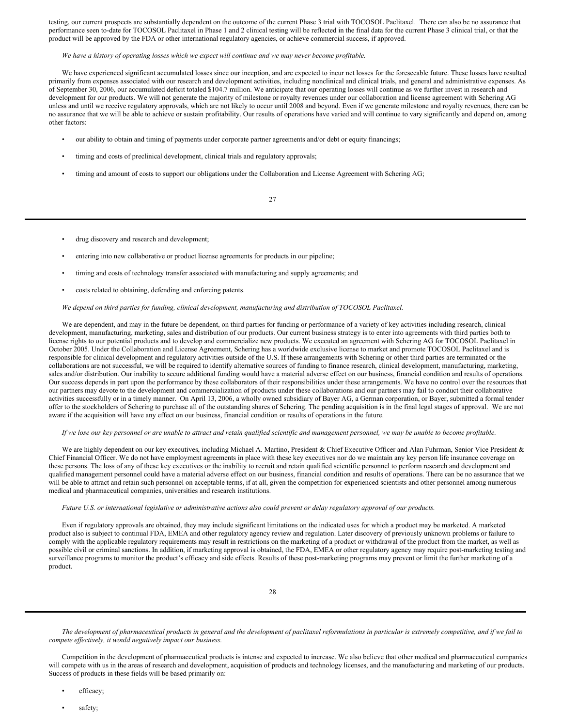testing, our current prospects are substantially dependent on the outcome of the current Phase 3 trial with TOCOSOL Paclitaxel. There can also be no assurance that performance seen to-date for TOCOSOL Paclitaxel in Phase 1 and 2 clinical testing will be reflected in the final data for the current Phase 3 clinical trial, or that the product will be approved by the FDA or other international regulatory agencies, or achieve commercial success, if approved.

We have a history of operating losses which we expect will continue and we may never become profitable.

We have experienced significant accumulated losses since our inception, and are expected to incur net losses for the foreseeable future. These losses have resulted primarily from expenses associated with our research and development activities, including nonclinical and clinical trials, and general and administrative expenses. As of September 30, 2006, our accumulated deficit totaled \$104.7 million. We anticipate that our operating losses will continue as we further invest in research and development for our products. We will not generate the majority of milestone or royalty revenues under our collaboration and license agreement with Schering AG unless and until we receive regulatory approvals, which are not likely to occur until 2008 and beyond. Even if we generate milestone and royalty revenues, there can be no assurance that we will be able to achieve or sustain profitability. Our results of operations have varied and will continue to vary significantly and depend on, among other factors:

- our ability to obtain and timing of payments under corporate partner agreements and/or debt or equity financings;
- timing and costs of preclinical development, clinical trials and regulatory approvals;
- timing and amount of costs to support our obligations under the Collaboration and License Agreement with Schering AG;

27

- drug discovery and research and development;
- entering into new collaborative or product license agreements for products in our pipeline;
- timing and costs of technology transfer associated with manufacturing and supply agreements; and
- costs related to obtaining, defending and enforcing patents.

## *We depend on third parties for funding, clinical development, manufacturing and distribution of TOCOSOL Paclitaxel.*

We are dependent, and may in the future be dependent, on third parties for funding or performance of a variety of key activities including research, clinical development, manufacturing, marketing, sales and distribution of our products. Our current business strategy is to enter into agreements with third parties both to license rights to our potential products and to develop and commercialize new products. We executed an agreement with Schering AG for TOCOSOL Paclitaxel in October 2005. Under the Collaboration and License Agreement, Schering has a worldwide exclusive license to market and promote TOCOSOL Paclitaxel and is responsible for clinical development and regulatory activities outside of the U.S. If these arrangements with Schering or other third parties are terminated or the collaborations are not successful, we will be required to identify alternative sources of funding to finance research, clinical development, manufacturing, marketing, sales and/or distribution. Our inability to secure additional funding would have a material adverse effect on our business, financial condition and results of operations. Our success depends in part upon the performance by these collaborators of their responsibilities under these arrangements. We have no control over the resources that our partners may devote to the development and commercialization of products under these collaborations and our partners may fail to conduct their collaborative activities successfully or in a timely manner. On April 13, 2006, a wholly owned subsidiary of Bayer AG, a German corporation, or Bayer, submitted a formal tender offer to the stockholders of Schering to purchase all of the outstanding shares of Schering. The pending acquisition is in the final legal stages of approval. We are not aware if the acquisition will have any effect on our business, financial condition or results of operations in the future.

#### If we lose our key personnel or are unable to attract and retain qualified scientific and management personnel, we may be unable to become profitable.

We are highly dependent on our key executives, including Michael A. Martino, President & Chief Executive Officer and Alan Fuhrman, Senior Vice President & Chief Financial Officer. We do not have employment agreements in place with these key executives nor do we maintain any key person life insurance coverage on these persons. The loss of any of these key executives or the inability to recruit and retain qualified scientific personnel to perform research and development and qualified management personnel could have a material adverse effect on our business, financial condition and results of operations. There can be no assurance that we will be able to attract and retain such personnel on acceptable terms, if at all, given the competition for experienced scientists and other personnel among numerous medical and pharmaceutical companies, universities and research institutions.

## Future U.S. or international legislative or administrative actions also could prevent or delay regulatory approval of our products.

Even if regulatory approvals are obtained, they may include significant limitations on the indicated uses for which a product may be marketed. A marketed product also is subject to continual FDA, EMEA and other regulatory agency review and regulation. Later discovery of previously unknown problems or failure to comply with the applicable regulatory requirements may result in restrictions on the marketing of a product or withdrawal of the product from the market, as well as possible civil or criminal sanctions. In addition, if marketing approval is obtained, the FDA, EMEA or other regulatory agency may require post-marketing testing and surveillance programs to monitor the product's efficacy and side effects. Results of these post-marketing programs may prevent or limit the further marketing of a product.

The development of pharmaceutical products in general and the development of paclitaxel reformulations in particular is extremely competitive, and if we fail to *compete ef ectively, it would negatively impact our business.*

Competition in the development of pharmaceutical products is intense and expected to increase. We also believe that other medical and pharmaceutical companies will compete with us in the areas of research and development, acquisition of products and technology licenses, and the manufacturing and marketing of our products. Success of products in these fields will be based primarily on:

- efficacy:
- safety;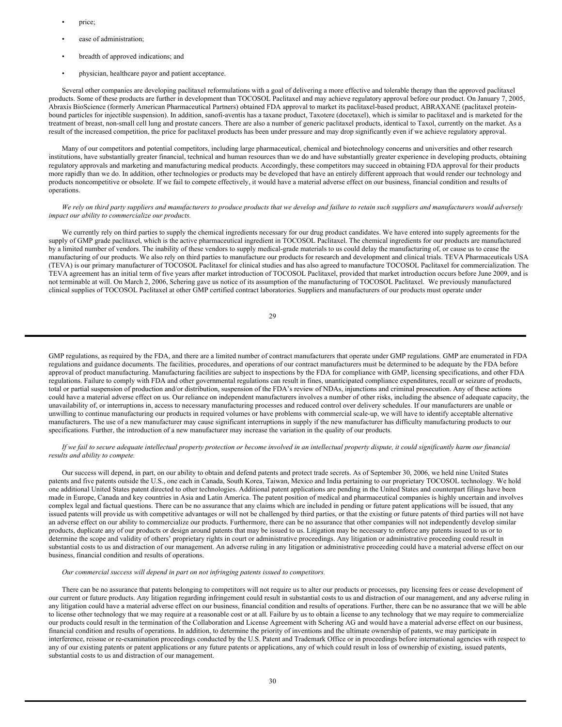- price;
- ease of administration;
- breadth of approved indications; and
- physician, healthcare payor and patient acceptance.

Several other companies are developing paclitaxel reformulations with a goal of delivering a more effective and tolerable therapy than the approved paclitaxel products. Some of these products are further in development than TOCOSOL Paclitaxel and may achieve regulatory approval before our product. On January 7, 2005, Abraxis BioScience (formerly American Pharmaceutical Partners) obtained FDA approval to market its paclitaxel-based product, ABRAXANE (paclitaxel proteinbound particles for injectible suspension). In addition, sanofi-aventis has a taxane product, Taxotere (docetaxel), which is similar to paclitaxel and is marketed for the treatment of breast, non-small cell lung and prostate cancers. There are also a number of generic paclitaxel products, identical to Taxol, currently on the market. As a result of the increased competition, the price for paclitaxel products has been under pressure and may drop significantly even if we achieve regulatory approval.

Many of our competitors and potential competitors, including large pharmaceutical, chemical and biotechnology concerns and universities and other research institutions, have substantially greater financial, technical and human resources than we do and have substantially greater experience in developing products, obtaining regulatory approvals and marketing and manufacturing medical products. Accordingly, these competitors may succeed in obtaining FDA approval for their products more rapidly than we do. In addition, other technologies or products may be developed that have an entirely different approach that would render our technology and products noncompetitive or obsolete. If we fail to compete effectively, it would have a material adverse effect on our business, financial condition and results of operations.

## We rely on third party suppliers and manufacturers to produce products that we develop and failure to retain such suppliers and manufacturers would adversely *impact our ability to commercialize our products.*

We currently rely on third parties to supply the chemical ingredients necessary for our drug product candidates. We have entered into supply agreements for the supply of GMP grade paclitaxel, which is the active pharmaceutical ingredient in TOCOSOL Paclitaxel. The chemical ingredients for our products are manufactured by a limited number of vendors. The inability of these vendors to supply medical-grade materials to us could delay the manufacturing of, or cause us to cease the manufacturing of our products. We also rely on third parties to manufacture our products for research and development and clinical trials. TEVA Pharmaceuticals USA (TEVA) is our primary manufacturer of TOCOSOL Paclitaxel for clinical studies and has also agreed to manufacture TOCOSOL Paclitaxel for commercialization. The TEVA agreement has an initial term of five years after market introduction of TOCOSOL Paclitaxel, provided that market introduction occurs before June 2009, and is not terminable at will. On March 2, 2006, Schering gave us notice of its assumption of the manufacturing of TOCOSOL Paclitaxel. We previously manufactured clinical supplies of TOCOSOL Paclitaxel at other GMP certified contract laboratories. Suppliers and manufacturers of our products must operate under

29

GMP regulations, as required by the FDA, and there are a limited number of contract manufacturers that operate under GMP regulations. GMP are enumerated in FDA regulations and guidance documents. The facilities, procedures, and operations of our contract manufacturers must be determined to be adequate by the FDA before approval of product manufacturing. Manufacturing facilities are subject to inspections by the FDA for compliance with GMP, licensing specifications, and other FDA regulations. Failure to comply with FDA and other governmental regulations can result in fines, unanticipated compliance expenditures, recall or seizure of products, total or partial suspension of production and/or distribution, suspension of the FDA's review of NDAs, injunctions and criminal prosecution. Any of these actions could have a material adverse effect on us. Our reliance on independent manufacturers involves a number of other risks, including the absence of adequate capacity, the unavailability of, or interruptions in, access to necessary manufacturing processes and reduced control over delivery schedules. If our manufacturers are unable or unwilling to continue manufacturing our products in required volumes or have problems with commercial scale-up, we will have to identify acceptable alternative manufacturers. The use of a new manufacturer may cause significant interruptions in supply if the new manufacturer has difficulty manufacturing products to our specifications. Further, the introduction of a new manufacturer may increase the variation in the quality of our products.

### If we fail to secure adequate intellectual property protection or become involved in an intellectual property dispute, it could significantly harm our financial *results and ability to compete.*

Our success will depend, in part, on our ability to obtain and defend patents and protect trade secrets. As of September 30, 2006, we held nine United States patents and five patents outside the U.S., one each in Canada, South Korea, Taiwan, Mexico and India pertaining to our proprietary TOCOSOL technology. We hold one additional United States patent directed to other technologies. Additional patent applications are pending in the United States and counterpart filings have been made in Europe, Canada and key countries in Asia and Latin America. The patent position of medical and pharmaceutical companies is highly uncertain and involves complex legal and factual questions. There can be no assurance that any claims which are included in pending or future patent applications will be issued, that any issued patents will provide us with competitive advantages or will not be challenged by third parties, or that the existing or future patents of third parties will not have an adverse effect on our ability to commercialize our products. Furthermore, there can be no assurance that other companies will not independently develop similar products, duplicate any of our products or design around patents that may be issued to us. Litigation may be necessary to enforce any patents issued to us or to determine the scope and validity of others' proprietary rights in court or administrative proceedings. Any litigation or administrative proceeding could result in substantial costs to us and distraction of our management. An adverse ruling in any litigation or administrative proceeding could have a material adverse effect on our business, financial condition and results of operations.

#### *Our commercial success will depend in part on not infringing patents issued to competitors.*

There can be no assurance that patents belonging to competitors will not require us to alter our products or processes, pay licensing fees or cease development of our current or future products. Any litigation regarding infringement could result in substantial costs to us and distraction of our management, and any adverse ruling in any litigation could have a material adverse effect on our business, financial condition and results of operations. Further, there can be no assurance that we will be able to license other technology that we may require at a reasonable cost or at all. Failure by us to obtain a license to any technology that we may require to commercialize our products could result in the termination of the Collaboration and License Agreement with Schering AG and would have a material adverse effect on our business, financial condition and results of operations. In addition, to determine the priority of inventions and the ultimate ownership of patents, we may participate in interference, reissue or re-examination proceedings conducted by the U.S. Patent and Trademark Office or in proceedings before international agencies with respect to any of our existing patents or patent applications or any future patents or applications, any of which could result in loss of ownership of existing, issued patents, substantial costs to us and distraction of our management.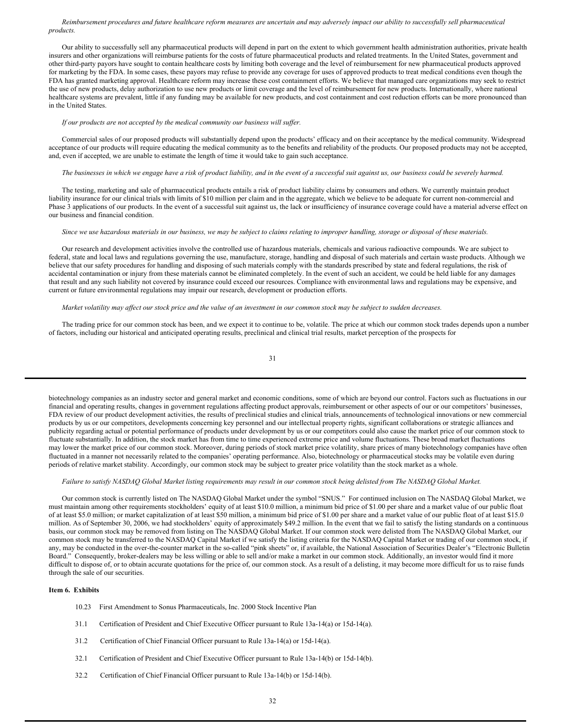### Reimbursement procedures and future healthcare reform measures are uncertain and may adversely impact our ability to successfully sell pharmaceutical *products.*

Our ability to successfully sell any pharmaceutical products will depend in part on the extent to which government health administration authorities, private health insurers and other organizations will reimburse patients for the costs of future pharmaceutical products and related treatments. In the United States, government and other third-party payors have sought to contain healthcare costs by limiting both coverage and the level of reimbursement for new pharmaceutical products approved for marketing by the FDA. In some cases, these payors may refuse to provide any coverage for uses of approved products to treat medical conditions even though the FDA has granted marketing approval. Healthcare reform may increase these cost containment efforts. We believe that managed care organizations may seek to restrict the use of new products, delay authorization to use new products or limit coverage and the level of reimbursement for new products. Internationally, where national healthcare systems are prevalent, little if any funding may be available for new products, and cost containment and cost reduction efforts can be more pronounced than in the United States.

#### *If our products are not accepted by the medical community our business will suf er.*

Commercial sales of our proposed products will substantially depend upon the products' efficacy and on their acceptance by the medical community. Widespread acceptance of our products will require educating the medical community as to the benefits and reliability of the products. Our proposed products may not be accepted, and, even if accepted, we are unable to estimate the length of time it would take to gain such acceptance.

#### The businesses in which we engage have a risk of product liability, and in the event of a successful suit against us, our business could be severely harmed.

The testing, marketing and sale of pharmaceutical products entails a risk of product liability claims by consumers and others. We currently maintain product liability insurance for our clinical trials with limits of \$10 million per claim and in the aggregate, which we believe to be adequate for current non-commercial and Phase 3 applications of our products. In the event of a successful suit against us, the lack or insufficiency of insurance coverage could have a material adverse effect on our business and financial condition.

#### Since we use hazardous materials in our business, we may be subject to claims relating to improper handling, storage or disposal of these materials.

Our research and development activities involve the controlled use of hazardous materials, chemicals and various radioactive compounds. We are subject to federal, state and local laws and regulations governing the use, manufacture, storage, handling and disposal of such materials and certain waste products. Although we believe that our safety procedures for handling and disposing of such materials comply with the standards prescribed by state and federal regulations, the risk of accidental contamination or injury from these materials cannot be eliminated completely. In the event of such an accident, we could be held liable for any damages that result and any such liability not covered by insurance could exceed our resources. Compliance with environmental laws and regulations may be expensive, and current or future environmental regulations may impair our research, development or production efforts.

## Market volatility may affect our stock price and the value of an investment in our common stock may be subject to sudden decreases.

The trading price for our common stock has been, and we expect it to continue to be, volatile. The price at which our common stock trades depends upon a number of factors, including our historical and anticipated operating results, preclinical and clinical trial results, market perception of the prospects for

31

biotechnology companies as an industry sector and general market and economic conditions, some of which are beyond our control. Factors such as fluctuations in our financial and operating results, changes in government regulations affecting product approvals, reimbursement or other aspects of our or our competitors' businesses, FDA review of our product development activities, the results of preclinical studies and clinical trials, announcements of technological innovations or new commercial products by us or our competitors, developments concerning key personnel and our intellectual property rights, significant collaborations or strategic alliances and publicity regarding actual or potential performance of products under development by us or our competitors could also cause the market price of our common stock to fluctuate substantially. In addition, the stock market has from time to time experienced extreme price and volume fluctuations. These broad market fluctuations may lower the market price of our common stock. Moreover, during periods of stock market price volatility, share prices of many biotechnology companies have often fluctuated in a manner not necessarily related to the companies' operating performance. Also, biotechnology or pharmaceutical stocks may be volatile even during periods of relative market stability. Accordingly, our common stock may be subject to greater price volatility than the stock market as a whole.

## Failure to satisfy NASDAQ Global Market listing requirements may result in our common stock being delisted from The NASDAQ Global Market.

Our common stock is currently listed on The NASDAQ Global Market under the symbol "SNUS." For continued inclusion on The NASDAQ Global Market, we must maintain among other requirements stockholders' equity of at least \$10.0 million, a minimum bid price of \$1.00 per share and a market value of our public float of at least \$5.0 million; or market capitalization of at least \$50 million, a minimum bid price of \$1.00 per share and a market value of our public float of at least \$15.0 million. As of September 30, 2006, we had stockholders' equity of approximately \$49.2 million. In the event that we fail to satisfy the listing standards on a continuous basis, our common stock may be removed from listing on The NASDAQ Global Market. If our common stock were delisted from The NASDAQ Global Market, our common stock may be transferred to the NASDAQ Capital Market if we satisfy the listing criteria for the NASDAQ Capital Market or trading of our common stock, if any, may be conducted in the over-the-counter market in the so-called "pink sheets" or, if available, the National Association of Securities Dealer's "Electronic Bulletin Board." Consequently, broker-dealers may be less willing or able to sell and/or make a market in our common stock. Additionally, an investor would find it more difficult to dispose of, or to obtain accurate quotations for the price of, our common stock. As a result of a delisting, it may become more difficult for us to raise funds through the sale of our securities.

## **Item 6. Exhibits**

- <span id="page-17-0"></span>10.23 First Amendment to Sonus Pharmaceuticals, Inc. 2000 Stock Incentive Plan
- 31.1 Certification of President and Chief Executive Officer pursuant to Rule 13a-14(a) or 15d-14(a).
- 31.2 Certification of Chief Financial Officer pursuant to Rule 13a-14(a) or 15d-14(a).
- 32.1 Certification of President and Chief Executive Officer pursuant to Rule 13a-14(b) or 15d-14(b).
- 32.2 Certification of Chief Financial Officer pursuant to Rule 13a-14(b) or 15d-14(b).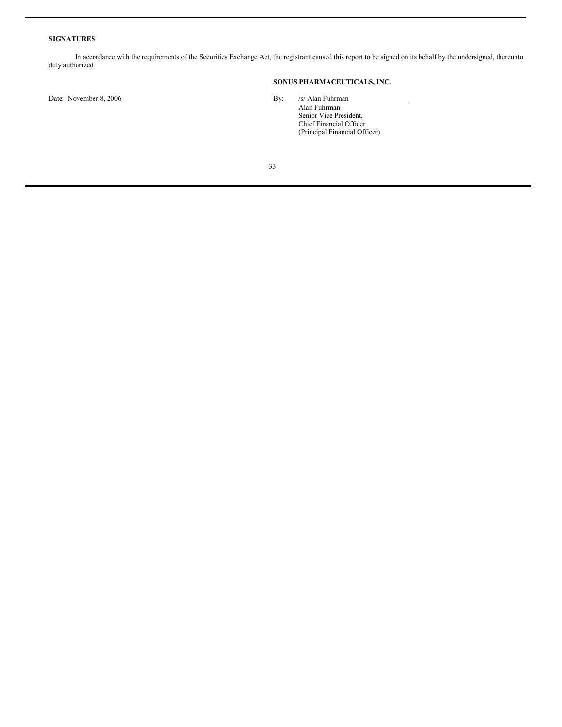## **SIGNATURES**

In accordance with the requirements of the Securities Exchange Act, the registrant caused this report to be signed on its behalf by the undersigned, thereunto duly authorized.

## **SONUS PHARMACEUTICALS, INC.**

Date: November 8, 2006 By: /s/ Alan Fuhrman

Alan Fuhrman Senior Vice President, Chief Financial Officer (Principal Financial Officer)

33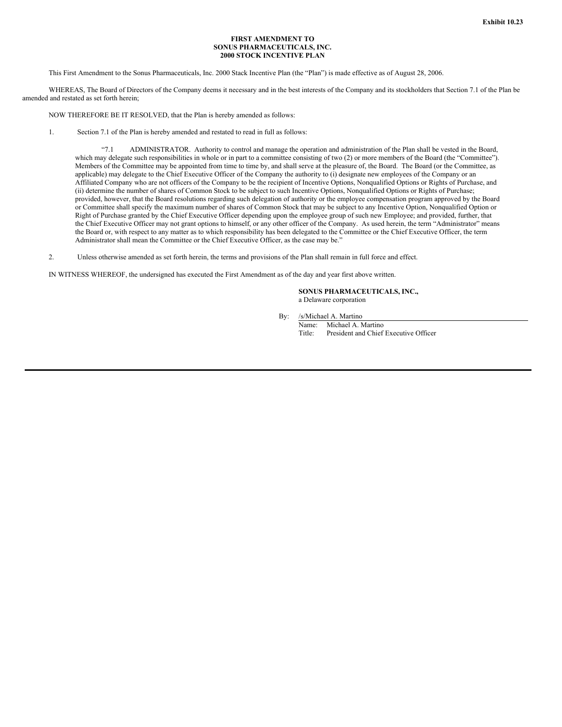## **FIRST AMENDMENT TO SONUS PHARMACEUTICALS, INC. 2000 STOCK INCENTIVE PLAN**

This First Amendment to the Sonus Pharmaceuticals, Inc. 2000 Stack Incentive Plan (the "Plan") is made effective as of August 28, 2006.

WHEREAS, The Board of Directors of the Company deems it necessary and in the best interests of the Company and its stockholders that Section 7.1 of the Plan be amended and restated as set forth herein;

NOW THEREFORE BE IT RESOLVED, that the Plan is hereby amended as follows:

1. Section 7.1 of the Plan is hereby amended and restated to read in full as follows:

"7.1 ADMINISTRATOR. Authority to control and manage the operation and administration of the Plan shall be vested in the Board, which may delegate such responsibilities in whole or in part to a committee consisting of two (2) or more members of the Board (the "Committee"). Members of the Committee may be appointed from time to time by, and shall serve at the pleasure of, the Board. The Board (or the Committee, as applicable) may delegate to the Chief Executive Officer of the Company the authority to (i) designate new employees of the Company or an Affiliated Company who are not officers of the Company to be the recipient of Incentive Options, Nonqualified Options or Rights of Purchase, and (ii) determine the number of shares of Common Stock to be subject to such Incentive Options, Nonqualified Options or Rights of Purchase; provided, however, that the Board resolutions regarding such delegation of authority or the employee compensation program approved by the Board or Committee shall specify the maximum number of shares of Common Stock that may be subject to any Incentive Option, Nonqualified Option or Right of Purchase granted by the Chief Executive Officer depending upon the employee group of such new Employee; and provided, further, that the Chief Executive Officer may not grant options to himself, or any other officer of the Company. As used herein, the term "Administrator" means the Board or, with respect to any matter as to which responsibility has been delegated to the Committee or the Chief Executive Officer, the term Administrator shall mean the Committee or the Chief Executive Officer, as the case may be."

2. Unless otherwise amended as set forth herein, the terms and provisions of the Plan shall remain in full force and effect.

IN WITNESS WHEREOF, the undersigned has executed the First Amendment as of the day and year first above written.

**SONUS PHARMACEUTICALS, INC.,** a Delaware corporation

By: /s/Michael A. Martino

Name: Michael A. Martino Title: President and Chief Executive Officer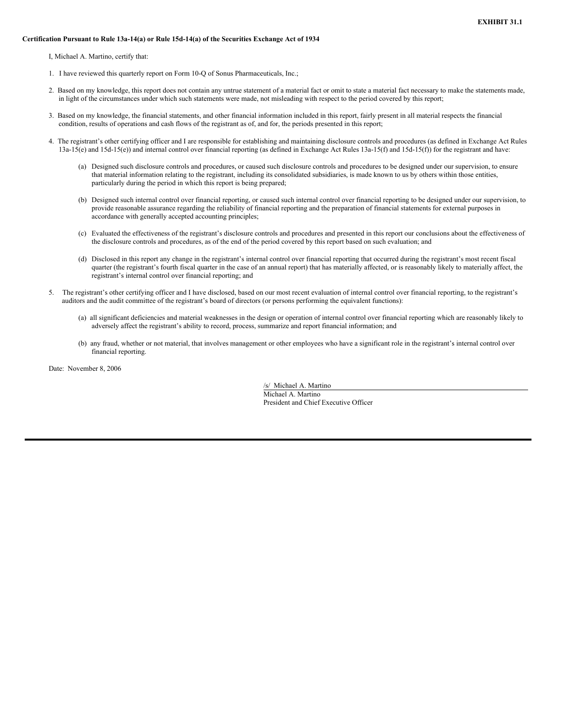## **Certification Pursuant to Rule 13a-14(a) or Rule 15d-14(a) of the Securities Exchange Act of 1934**

I, Michael A. Martino, certify that:

- 1. I have reviewed this quarterly report on Form 10-Q of Sonus Pharmaceuticals, Inc.;
- 2. Based on my knowledge, this report does not contain any untrue statement of a material fact or omit to state a material fact necessary to make the statements made, in light of the circumstances under which such statements were made, not misleading with respect to the period covered by this report;
- 3. Based on my knowledge, the financial statements, and other financial information included in this report, fairly present in all material respects the financial condition, results of operations and cash flows of the registrant as of, and for, the periods presented in this report;
- 4. The registrant's other certifying officer and I are responsible for establishing and maintaining disclosure controls and procedures (as defined in Exchange Act Rules  $13a-15(e)$  and  $15d-15(e)$ ) and internal control over financial reporting (as defined in Exchange Act Rules  $13a-15(f)$  and  $15d-15(f)$ ) for the registrant and have:
	- (a) Designed such disclosure controls and procedures, or caused such disclosure controls and procedures to be designed under our supervision, to ensure that material information relating to the registrant, including its consolidated subsidiaries, is made known to us by others within those entities, particularly during the period in which this report is being prepared;
	- (b) Designed such internal control over financial reporting, or caused such internal control over financial reporting to be designed under our supervision, to provide reasonable assurance regarding the reliability of financial reporting and the preparation of financial statements for external purposes in accordance with generally accepted accounting principles;
	- (c) Evaluated the effectiveness of the registrant's disclosure controls and procedures and presented in this report our conclusions about the effectiveness of the disclosure controls and procedures, as of the end of the period covered by this report based on such evaluation; and
	- (d) Disclosed in this report any change in the registrant's internal control over financial reporting that occurred during the registrant's most recent fiscal quarter (the registrant's fourth fiscal quarter in the case of an annual report) that has materially affected, or is reasonably likely to materially affect, the registrant's internal control over financial reporting; and
- 5. The registrant's other certifying officer and I have disclosed, based on our most recent evaluation of internal control over financial reporting, to the registrant's auditors and the audit committee of the registrant's board of directors (or persons performing the equivalent functions):
	- (a) all significant deficiencies and material weaknesses in the design or operation of internal control over financial reporting which are reasonably likely to adversely affect the registrant's ability to record, process, summarize and report financial information; and
	- (b) any fraud, whether or not material, that involves management or other employees who have a significant role in the registrant's internal control over financial reporting.

Date: November 8, 2006

/s/ Michael A. Martino Michael A. Martino President and Chief Executive Officer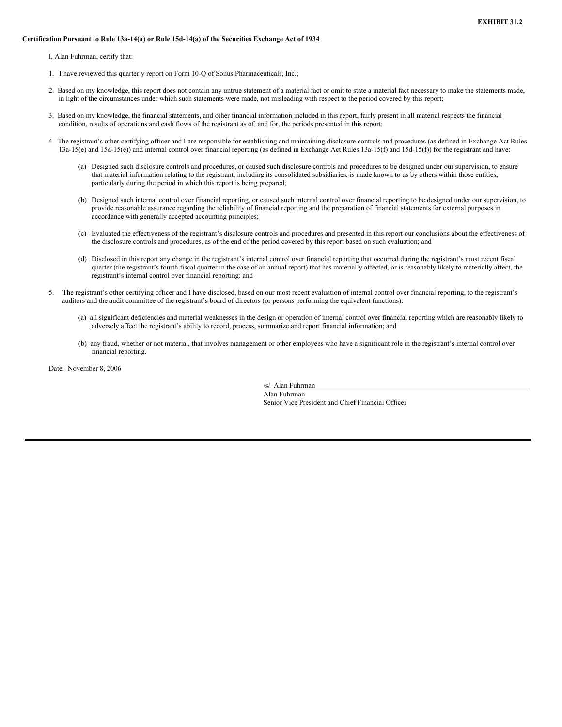### **Certification Pursuant to Rule 13a-14(a) or Rule 15d-14(a) of the Securities Exchange Act of 1934**

I, Alan Fuhrman, certify that:

- 1. I have reviewed this quarterly report on Form 10-Q of Sonus Pharmaceuticals, Inc.;
- 2. Based on my knowledge, this report does not contain any untrue statement of a material fact or omit to state a material fact necessary to make the statements made, in light of the circumstances under which such statements were made, not misleading with respect to the period covered by this report;
- 3. Based on my knowledge, the financial statements, and other financial information included in this report, fairly present in all material respects the financial condition, results of operations and cash flows of the registrant as of, and for, the periods presented in this report;
- 4. The registrant's other certifying officer and I are responsible for establishing and maintaining disclosure controls and procedures (as defined in Exchange Act Rules  $13a-15(e)$  and  $15d-15(e)$ ) and internal control over financial reporting (as defined in Exchange Act Rules  $13a-15(f)$  and  $15d-15(f)$ ) for the registrant and have:
	- (a) Designed such disclosure controls and procedures, or caused such disclosure controls and procedures to be designed under our supervision, to ensure that material information relating to the registrant, including its consolidated subsidiaries, is made known to us by others within those entities, particularly during the period in which this report is being prepared;
	- (b) Designed such internal control over financial reporting, or caused such internal control over financial reporting to be designed under our supervision, to provide reasonable assurance regarding the reliability of financial reporting and the preparation of financial statements for external purposes in accordance with generally accepted accounting principles;
	- (c) Evaluated the effectiveness of the registrant's disclosure controls and procedures and presented in this report our conclusions about the effectiveness of the disclosure controls and procedures, as of the end of the period covered by this report based on such evaluation; and
	- (d) Disclosed in this report any change in the registrant's internal control over financial reporting that occurred during the registrant's most recent fiscal quarter (the registrant's fourth fiscal quarter in the case of an annual report) that has materially affected, or is reasonably likely to materially affect, the registrant's internal control over financial reporting; and
- 5. The registrant's other certifying officer and I have disclosed, based on our most recent evaluation of internal control over financial reporting, to the registrant's auditors and the audit committee of the registrant's board of directors (or persons performing the equivalent functions):
	- (a) all significant deficiencies and material weaknesses in the design or operation of internal control over financial reporting which are reasonably likely to adversely affect the registrant's ability to record, process, summarize and report financial information; and
	- (b) any fraud, whether or not material, that involves management or other employees who have a significant role in the registrant's internal control over financial reporting.

Date: November 8, 2006

/s/ Alan Fuhrman Alan Fuhrman Senior Vice President and Chief Financial Officer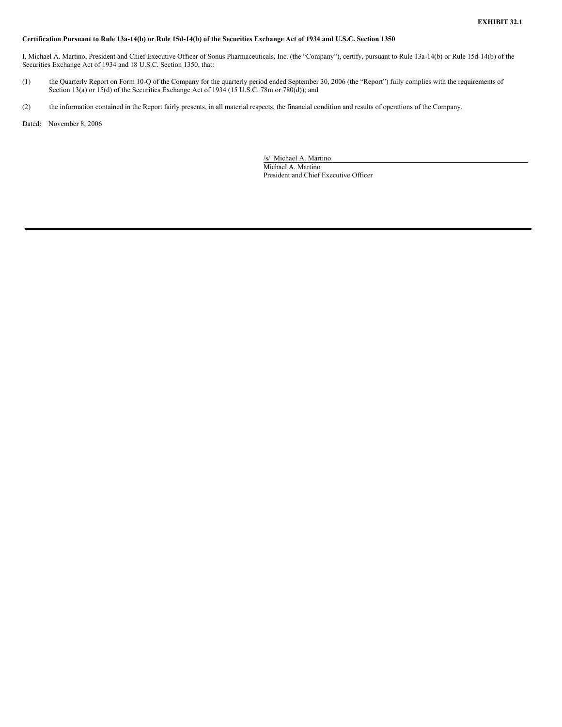## Certification Pursuant to Rule 13a-14(b) or Rule 15d-14(b) of the Securities Exchange Act of 1934 and U.S.C. Section 1350

I, Michael A. Martino, President and Chief Executive Officer of Sonus Pharmaceuticals, Inc. (the "Company"), certify, pursuant to Rule 13a-14(b) or Rule 15d-14(b) of the Securities Exchange Act of 1934 and 18 U.S.C. Section 1350, that:

- (1) the Quarterly Report on Form 10-Q of the Company for the quarterly period ended September 30, 2006 (the "Report") fully complies with the requirements of Section 13(a) or 15(d) of the Securities Exchange Act of 1934 (15 U.S.C. 78m or 780(d)); and
- (2) the information contained in the Report fairly presents, in all material respects, the financial condition and results of operations of the Company.

Dated: November 8, 2006

/s/ Michael A. Martino Michael A. Martino President and Chief Executive Officer